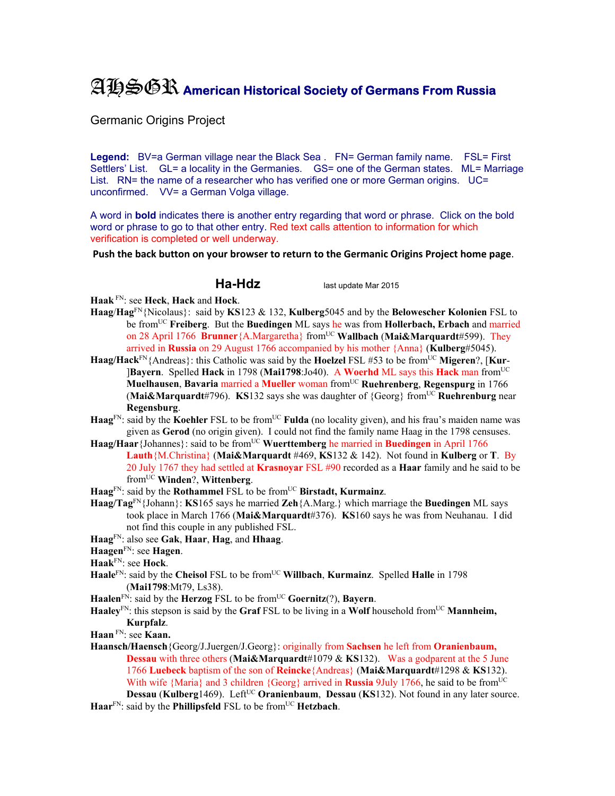## AHSGR **American Historical Society of Germans From Russia**

Germanic Origins Project

Legend: BV=a German village near the Black Sea . FN= German family name. FSL= First Settlers' List. GL= a locality in the Germanies. GS= one of the German states. ML= Marriage List. RN= the name of a researcher who has verified one or more German origins. UC= unconfirmed. VV= a German Volga village.

A word in **bold** indicates there is another entry regarding that word or phrase. Click on the bold word or phrase to go to that other entry. Red text calls attention to information for which verification is completed or well underway.

**Push the back button on your browser to return to the Germanic Origins Project home page**.

**Ha-Hdz** last update Mar 2015

**Haak** FN: see **Heck**, **Hack** and **Hock**.

- **Haag**/**Hag**FN{Nicolaus}: said by **KS**123 & 132, **Kulberg**5045 and by the **Belowescher Kolonien** FSL to be fromUC **Freiberg**. But the **Buedingen** ML says he was from **Hollerbach, Erbach** and married on 28 April 1766 **Brunner**{A.Margaretha} fromUC **Wallbach** (**Mai&Marquardt**#599). They arrived in **Russia** on 29 August 1766 accompanied by his mother {Anna} (**Kulberg**#5045).
- **Haag/Hack**FN{Andreas}: this Catholic was said by the **Hoelzel** FSL #53 to be fromUC **Migeren**?, [**Kur** ]**Bayern**. Spelled **Hack** in 1798 (**Mai1798**:Jo40). A **Woerhd** ML says this **Hack** man fromUC **Muelhausen**, **Bavaria** married a **Mueller** woman fromUC **Ruehrenberg**, **Regenspurg** in 1766 (**Mai&Marquardt**#796). **KS**132 says she was daughter of {Georg} fromUC **Ruehrenburg** near **Regensburg**.
- **Haag**<sup>FN</sup>: said by the **Koehler** FSL to be from<sup>UC</sup> **Fulda** (no locality given), and his frau's maiden name was given as **Gerod** (no origin given). I could not find the family name Haag in the 1798 censuses.
- **Haag/Haar**{Johannes}: said to be from<sup>UC</sup> Wuerttemberg he married in Buedingen in April 1766 **Lauth**{M.Christina} (**Mai&Marquardt** #469, **KS**132 & 142).Not found in **Kulberg** or **T**. By 20 July 1767 they had settled at **Krasnoyar** FSL #90 recorded as a **Haar** family and he said to be fromUC **Winden**?, **Wittenberg**.

Haag<sup>FN</sup>: said by the **Rothammel** FSL to be from<sup>UC</sup> Birstadt, Kurmainz.

- **Haag/Tag**FN{Johann}: **KS**165 says he married **Zeh**{A.Marg.} which marriage the **Buedingen** ML says took place in March 1766 (**Mai&Marquardt**#376). **KS**160 says he was from Neuhanau. I did not find this couple in any published FSL.
- **Haag**FN: also see **Gak**, **Haar**, **Hag**, and **Hhaag**.
- **Haagen**FN: see **Hagen**.
- **Haak**FN: see **Hock**.
- Haale<sup>FN</sup>: said by the Cheisol FSL to be from<sup>UC</sup> Willbach, Kurmainz. Spelled Halle in 1798 (**Mai1798**:Mt79, Ls38).
- **Haalen**<sup>FN</sup>: said by the **Herzog** FSL to be from<sup>UC</sup> **Goernitz**(?), **Bayern**.
- **Haaley**FN: this stepson is said by the **Graf** FSL to be living in a **Wolf** household fromUC **Mannheim, Kurpfalz**.
- **Haan** FN: see **Kaan.**
- **Haansch/Haensch**{Georg/J.Juergen/J.Georg}: originally from **Sachsen** he left from **Oranienbaum, Dessau** with three others (**Mai&Marquardt**#1079 & **KS**132). Was a godparent at the 5 June 1766 **Luebeck** baptism of the son of **Reincke**{Andreas} (**Mai&Marquardt**#1298 & **KS**132). With wife {Maria} and 3 children {Georg} arrived in **Russia** 9July 1766, he said to be from<sup>UC</sup> **Dessau** (**Kulberg**1469). Left<sup>UC</sup> **Oranienbaum**, **Dessau** (**KS**132). Not found in any later source.
- $\textbf{Haar}^{\text{FN}}$ : said by the **Phillipsfeld** FSL to be from<sup>UC</sup> **Hetzbach**.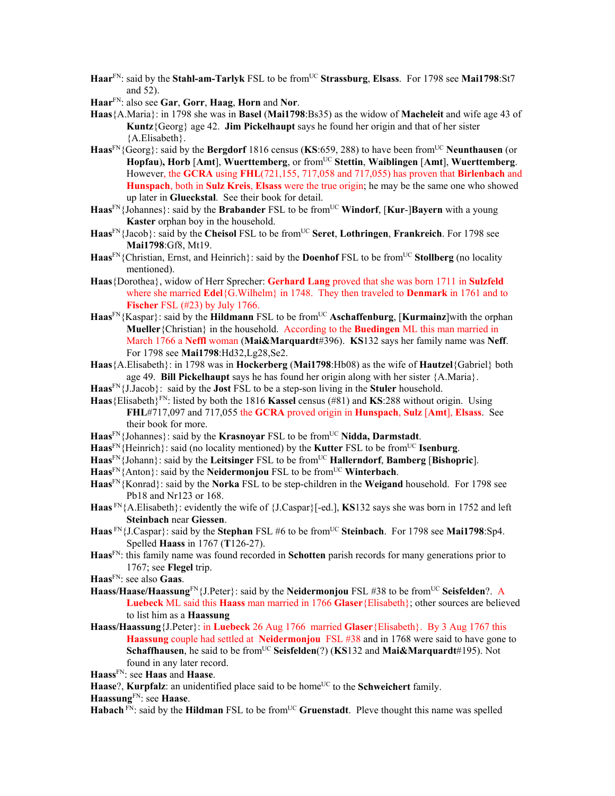- Haar<sup>FN</sup>: said by the **Stahl-am-Tarlyk** FSL to be from<sup>UC</sup> **Strassburg**, **Elsass**. For 1798 see Mai1798:St7 and 52).
- **Haar**FN: also see **Gar**, **Gorr**, **Haag**, **Horn** and **Nor**.
- **Haas**{A.Maria}: in 1798 she was in **Basel** (**Mai1798**:Bs35) as the widow of **Macheleit** and wife age 43 of **Kuntz**{Georg} age 42. **Jim Pickelhaupt** says he found her origin and that of her sister {A.Elisabeth}.
- **Haas**FN{Georg}: said by the **Bergdorf** 1816 census (**KS**:659, 288) to have been fromUC **Neunthausen** (or **Hopfau**)**, Horb** [**Amt**], **Wuerttemberg**, or fromUC **Stettin**, **Waiblingen** [**Amt**], **Wuerttemberg**. However, the **GCRA** using **FHL**(721,155, 717,058 and 717,055) has proven that **Birlenbach** and **Hunspach**, both in **Sulz Kreis**, **Elsass** were the true origin; he may be the same one who showed up later in **Glueckstal**. See their book for detail.
- **Haas**FN{Johannes}: said by the **Brabander** FSL to be fromUC **Windorf**, [**Kur**-]**Bayern** with a young **Kaster** orphan boy in the household.
- **Haas**FN{Jacob}: said by the **Cheisol** FSL to be fromUC **Seret**, **Lothringen**, **Frankreich**. For 1798 see **Mai1798**:Gf8, Mt19.
- Haas<sup>FN</sup>{Christian, Ernst, and Heinrich}: said by the **Doenhof** FSL to be from<sup>UC</sup> Stollberg (no locality mentioned).
- **Haas**{Dorothea}, widow of Herr Sprecher: **Gerhard Lang** proved that she was born 1711 in **Sulzfeld** where she married **Edel**{G.Wilhelm} in 1748. They then traveled to **Denmark** in 1761 and to **Fischer** FSL (#23) by July 1766.
- Haas<sup>FN</sup>{Kaspar}: said by the **Hildmann** FSL to be from<sup>UC</sup> **Aschaffenburg**, [**Kurmainz**] with the orphan **Mueller**{Christian} in the household. According to the **Buedingen** ML this man married in March 1766 a **Neffl** woman (**Mai&Marquardt**#396). **KS**132 says her family name was **Neff**. For 1798 see **Mai1798**:Hd32,Lg28,Se2.
- **Haas**{A.Elisabeth}: in 1798 was in **Hockerberg** (**Mai1798**:Hb08) as the wife of **Hautzel**{Gabriel} both age 49. **Bill Pickelhaupt** says he has found her origin along with her sister {A.Maria}.
- **Haas**FN{J.Jacob}: said by the **Jost** FSL to be a step-son living in the **Stuler** household.
- **Haas**{Elisabeth}FN: listed by both the 1816 **Kassel** census (#81) and **KS**:288 without origin. Using **FHL**#717,097 and 717,055 the **GCRA** proved origin in **Hunspach**, **Sulz** [**Amt**], **Elsass**. See their book for more.
- Haas<sup>FN</sup>{Johannes}: said by the **Krasnoyar** FSL to be from<sup>UC</sup> Nidda, Darmstadt.
- Haas<sup>FN</sup>{Heinrich}: said (no locality mentioned) by the **Kutter** FSL to be from<sup>UC</sup> **Isenburg**.
- **Haas**FN{Johann}: said by the **Leitsinger** FSL to be fromUC **Hallerndorf**, **Bamberg** [**Bishopric**].
- Haas<sup>FN</sup>{Anton}: said by the **Neidermonjou** FSL to be from<sup>UC</sup> **Winterbach**.
- **Haas**FN{Konrad}: said by the **Norka** FSL to be step-children in the **Weigand** household. For 1798 see Pb18 and Nr123 or 168.
- **Haas** FN{A.Elisabeth}: evidently the wife of {J.Caspar}[-ed.], **KS**132 says she was born in 1752 and left **Steinbach** near **Giessen**.
- **Haas** FN{J.Caspar}: said by the **Stephan** FSL #6 to be fromUC **Steinbach**. For 1798 see **Mai1798**:Sp4. Spelled **Haass** in 1767 (**T**126-27).
- **Haas**FN: this family name was found recorded in **Schotten** parish records for many generations prior to 1767; see **Flegel** trip.
- **Haas**FN: see also **Gaas**.
- Haass/Haase/Haassung<sup>FN</sup>{J.Peter}: said by the **Neidermonjou** FSL #38 to be from<sup>UC</sup> Seisfelden?. A **Luebeck** ML said this **Haass** man married in 1766 **Glaser**{Elisabeth}; other sources are believed to list him as a **Haassung**
- **Haass/Haassung**{J.Peter}: in **Luebeck** 26 Aug 1766 married **Glaser**{Elisabeth}. By 3 Aug 1767 this **Haassung** couple had settled at **Neidermonjou** FSL #38 and in 1768 were said to have gone to **Schaffhausen**, he said to be from<sup>UC</sup> Seisfelden(?) (**KS**132 and **Mai&Marquard**t#195). Not found in any later record.
- **Haass**FN: see **Haas** and **Haase**.

**Haase**?, **Kurpfalz**: an unidentified place said to be home<sup>UC</sup> to the **Schweichert** family.

**Haassung**FN: see **Haase**.

**Habach**  $\overline{PN}$ : said by the **Hildman** FSL to be from<sup>UC</sup> **Gruenstadt**. Pleve thought this name was spelled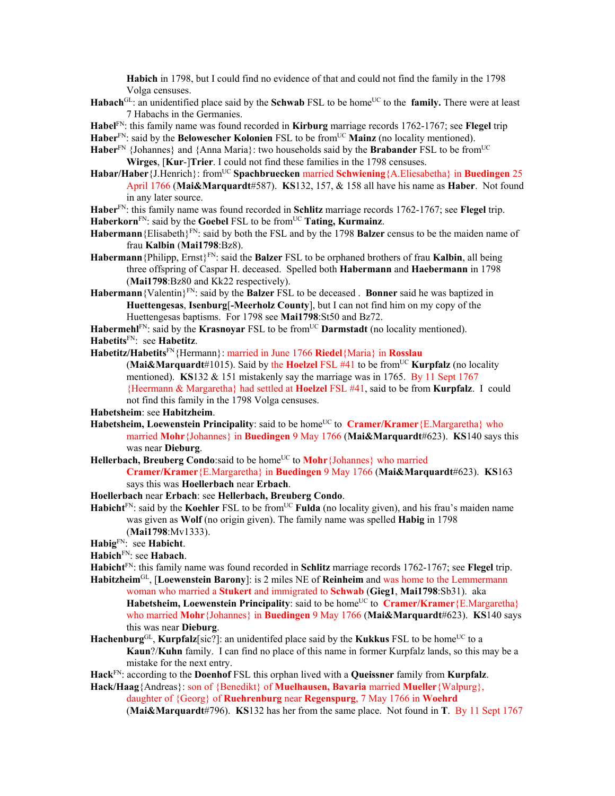**Habich** in 1798, but I could find no evidence of that and could not find the family in the 1798 Volga censuses.

- **Habach**<sup>GL</sup>: an unidentified place said by the **Schwab** FSL to be home<sup>UC</sup> to the **family.** There were at least 7 Habachs in the Germanies.
- **Habel**FN: this family name was found recorded in **Kirburg** marriage records 1762-1767; see **Flegel** trip
- Haber<sup>FN</sup>: said by the **Belowescher Kolonien** FSL to be from<sup>UC</sup> Mainz (no locality mentioned).
- Haber<sup>FN</sup> {Johannes} and {Anna Maria}: two households said by the **Brabander** FSL to be from<sup>UC</sup> **Wirges**, [**Kur**-]**Trier**. I could not find these families in the 1798 censuses.
- **Habar/Haber**{J.Henrich}: fromUC **Spachbruecken** married **Schwiening**{A.Eliesabetha} in **Buedingen** 25 April 1766 (**Mai&Marquardt**#587). **KS**132, 157, & 158 all have his name as **Haber**. Not found in any later source.
- **Haber**FN: this family name was found recorded in **Schlitz** marriage records 1762-1767; see **Flegel** trip.
- Haberkorn<sup>FN</sup>: said by the Goebel FSL to be from<sup>UC</sup> Tating, Kurmainz.
- **Habermann**{Elisabeth}FN: said by both the FSL and by the 1798 **Balzer** census to be the maiden name of frau **Kalbin** (**Mai1798**:Bz8).
- **Habermann**{Philipp, Ernst}FN: said the **Balzer** FSL to be orphaned brothers of frau **Kalbin**, all being three offspring of Caspar H. deceased. Spelled both **Habermann** and **Haebermann** in 1798 (**Mai1798**:Bz80 and Kk22 respectively).
- **Habermann**{Valentin}FN: said by the **Balzer** FSL to be deceased . **Bonner** said he was baptized in **Huettengesas**, **Isenburg**[**-Meerholz County**], but I can not find him on my copy of the Huettengesas baptisms. For 1798 see **Mai1798**:St50 and Bz72.

Habermehl<sup>FN</sup>: said by the **Krasnoyar** FSL to be from<sup>UC</sup> **Darmstadt** (no locality mentioned). **Habetits**FN: see **Habetitz**.

**Habetitz/Habetits**FN{Hermann}: married in June 1766 **Riedel**{Maria} in **Rosslau**

(Mai&Marquardt#1015). Said by the **Hoelzel** FSL  $#41$  to be from<sup>UC</sup> **Kurpfalz** (no locality mentioned). **KS**132 & 151 mistakenly say the marriage was in 1765. By 11 Sept 1767 {Heermann & Margaretha} had settled at **Hoelzel** FSL #41, said to be from **Kurpfalz**. I could not find this family in the 1798 Volga censuses.

**Habetsheim**: see **Habitzheim**.

- **Habetsheim, Loewenstein Principality**: said to be home<sup>UC</sup> to **Cramer/Kramer** {E.Margaretha} who married **Mohr**{Johannes} in **Buedingen** 9 May 1766 (**Mai&Marquardt**#623). **KS**140 says this was near **Dieburg**.
- **Hellerbach, Breuberg Condo**:said to be home<sup>UC</sup> to **Mohr** {Johannes} who married **Cramer/Kramer**{E.Margaretha} in **Buedingen** 9 May 1766 (**Mai&Marquardt**#623). **KS**163 says this was **Hoellerbach** near **Erbach**.
- **Hoellerbach** near **Erbach**: see **Hellerbach, Breuberg Condo**.
- **Habicht**<sup>FN</sup>: said by the **Koehler** FSL to be from<sup>UC</sup> **Fulda** (no locality given), and his frau's maiden name was given as **Wolf** (no origin given). The family name was spelled **Habig** in 1798 (**Mai1798**:Mv1333).
- **Habig**FN: see **Habicht**.
- **Habich**FN: see **Habach**.
- **Habicht**FN: this family name was found recorded in **Schlitz** marriage records 1762-1767; see **Flegel** trip. **Habitzheim**GL, [**Loewenstein Barony**]: is 2 miles NE of **Reinheim** and was home to the Lemmermann
	- woman who married a **Stukert** and immigrated to **Schwab** (**Gieg1**, **Mai1798**:Sb31). aka **Habetsheim, Loewenstein Principality**: said to be home<sup>UC</sup> to **Cramer/Kramer** {E.Margaretha} who married **Mohr**{Johannes} in **Buedingen** 9 May 1766 (**Mai&Marquardt**#623). **KS**140 says this was near **Dieburg**.
- **Hachenburg**<sup>GL</sup>, **Kurpfalz**[sic?]: an unidentifed place said by the **Kukkus** FSL to be home<sup>UC</sup> to a **Kaun**?/**Kuhn** family. I can find no place of this name in former Kurpfalz lands, so this may be a mistake for the next entry.
- **Hack**FN: according to the **Doenhof** FSL this orphan lived with a **Queissner** family from **Kurpfalz**.

**Hack/Haag**{Andreas}: son of {Benedikt} of **Muelhausen, Bavaria** married **Mueller**{Walpurg}, daughter of {Georg} of **Ruehrenburg** near **Regenspurg**, 7 May 1766 in **Woehrd**

(**Mai&Marquardt**#796). **KS**132 has her from the same place. Not found in **T**. By 11 Sept 1767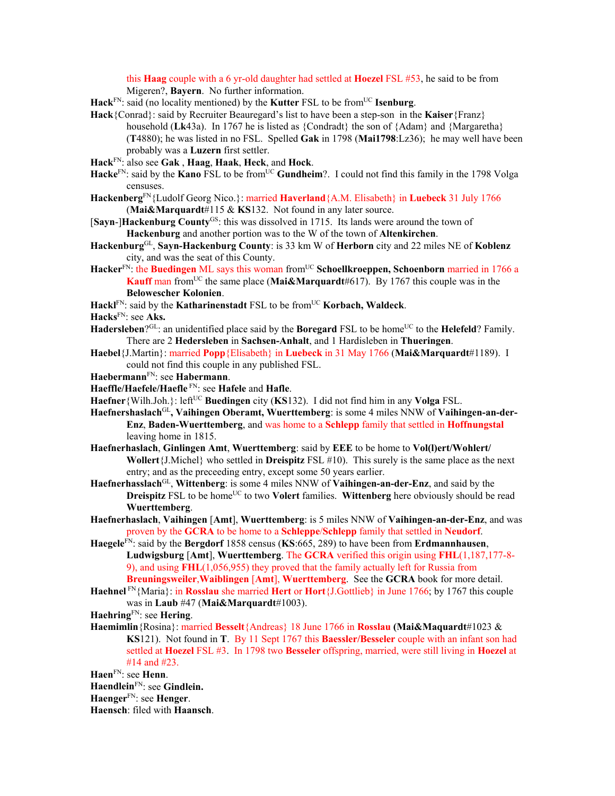this **Haag** couple with a 6 yr-old daughter had settled at **Hoezel** FSL #53, he said to be from Migeren?, **Bayern**. No further information.

- Hack<sup>FN</sup>: said (no locality mentioned) by the **Kutter** FSL to be from<sup>UC</sup> **Isenburg**.
- **Hack**{Conrad}: said by Recruiter Beauregard's list to have been a step-son in the **Kaiser**{Franz} household (**Lk**43a). In 1767 he is listed as {Condradt} the son of {Adam} and {Margaretha} (**T**4880); he was listed in no FSL. Spelled **Gak** in 1798 (**Mai1798**:Lz36); he may well have been probably was a **Luzern** first settler.
- **Hack**FN: also see **Gak** , **Haag**, **Haak**, **Heck**, and **Hock**.
- Hacke<sup>FN</sup>: said by the **Kano** FSL to be from<sup>UC</sup> **Gundheim**?. I could not find this family in the 1798 Volga censuses.
- **Hackenberg**FN{Ludolf Georg Nico.}: married **Haverland**{A.M. Elisabeth} in **Luebeck** 31 July 1766 (**Mai&Marquardt**#115 & **KS**132. Not found in any later source.
- [**Sayn**-]**Hackenburg County**GS: this was dissolved in 1715. Its lands were around the town of **Hackenburg** and another portion was to the W of the town of **Altenkirchen**.
- **Hackenburg**GL, **Sayn-Hackenburg County**: is 33 km W of **Herborn** city and 22 miles NE of **Koblenz** city, and was the seat of this County.
- Hacker<sup>FN</sup>: the **Buedingen** ML says this woman from<sup>UC</sup> Schoellkroeppen, Schoenborn married in 1766 a **Kauff** man from<sup>UC</sup> the same place (Mai&Marquardt#617). By 1767 this couple was in the **Belowescher Kolonien**.
- Hackl<sup>FN</sup>: said by the **Katharinenstadt** FSL to be from<sup>UC</sup> **Korbach, Waldeck**.

**Hacks**FN: see **Aks.**

- Hadersleben<sup>?GL</sup>: an unidentified place said by the **Boregard** FSL to be home<sup>UC</sup> to the **Helefeld**? Family. There are 2 **Hedersleben** in **Sachsen-Anhalt**, and 1 Hardisleben in **Thueringen**.
- **Haebel**{J.Martin}: married **Popp**{Elisabeth} in **Luebeck** in 31 May 1766 (**Mai&Marquardt**#1189). I could not find this couple in any published FSL.
- **Haebermann**FN: see **Habermann**.
- **Haeffle/Haefele/Haefle** FN: see **Hafele** and **Hafle**.
- **Haefner**{Wilh.Joh.}: left<sup>UC</sup> **Buedingen** city (**KS**132). I did not find him in any **Volga** FSL.
- **Haefnershaslach**GL**, Vaihingen Oberamt, Wuerttemberg**: is some 4 miles NNW of **Vaihingen-an-der-Enz**, **Baden-Wuerttemberg**, and was home to a **Schlepp** family that settled in **Hoffnungstal** leaving home in 1815.
- **Haefnerhaslach**, **Ginlingen Amt**, **Wuerttemberg**: said by **EEE** to be home to **Vol(l)ert/Wohlert/ Wollert**{J.Michel} who settled in **Dreispitz** FSL #10). This surely is the same place as the next entry; and as the preceeding entry, except some 50 years earlier.
- **Haefnerhasslach**GL, **Wittenberg**: is some 4 miles NNW of **Vaihingen-an-der-Enz**, and said by the **Dreispitz** FSL to be home<sup>UC</sup> to two **Volert** families. Wittenberg here obviously should be read **Wuerttemberg**.
- **Haefnerhaslach**, **Vaihingen** [**Amt**], **Wuerttemberg**: is 5 miles NNW of **Vaihingen-an-der-Enz**, and was proven by the **GCRA** to be home to a **Schleppe**/**Schlepp** family that settled in **Neudorf**.
- **Haegele**FN: said by the **Bergdorf** 1858 census (**KS**:665, 289) to have been from **Erdmannhausen**, **Ludwigsburg** [**Amt**], **Wuerttemberg**. The **GCRA** verified this origin using **FHL**(1,187,177-8- 9), and using **FHL**(1,056,955) they proved that the family actually left for Russia from **Breuningsweiler**,**Waiblingen** [**Amt**], **Wuerttemberg**. See the **GCRA** book for more detail.
- **Haehnel** FN{Maria}: in **Rosslau** she married **Hert** or **Hort**{J.Gottlieb} in June 1766; by 1767 this couple was in **Laub** #47 (**Mai&Marquardt**#1003).
- **Haehring**FN: see **Hering**.
- **Haemimlin**{Rosina}: married **Besselt**{Andreas} 18 June 1766 in **Rosslau (Mai&Maquardt**#1023 & **KS**121). Not found in **T**.By 11 Sept 1767 this **Baessler/Besseler** couple with an infant son had settled at **Hoezel** FSL #3. In 1798 two **Besseler** offspring, married, were still living in **Hoezel** at #14 and #23.

**Haen**FN: see **Henn**.

**Haendlein**FN: see **Gindlein.**

**Haenger**FN: see **Henger**.

**Haensch**: filed with **Haansch**.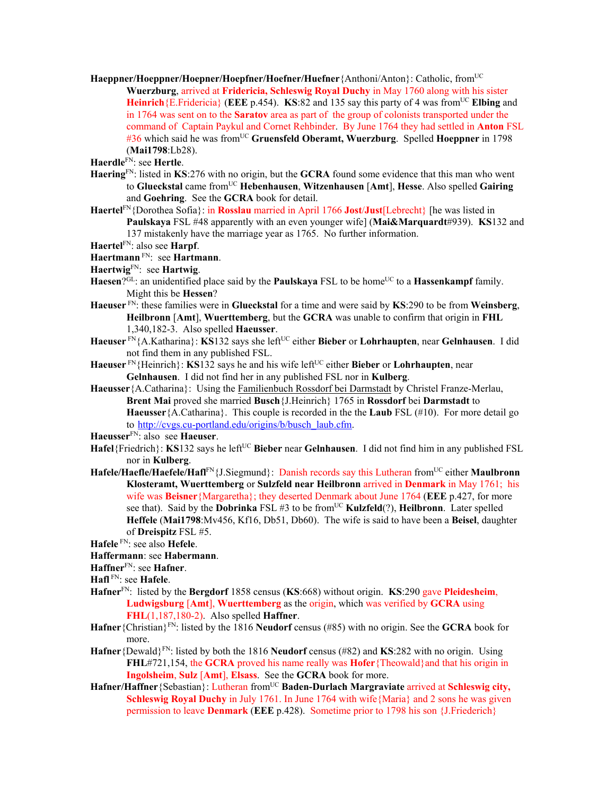**Haeppner/Hoeppner/Hoepner/Hoepfner/Hoefner/Huefner**{Anthoni/Anton}: Catholic, fromUC **Wuerzburg**, arrived at **Fridericia, Schleswig Royal Duchy** in May 1760 along with his sister **Heinrich** {E.Fridericia} (**EEE** p.454). **KS**:82 and 135 say this party of 4 was from<sup>UC</sup> **Elbing** and in 1764 was sent on to the **Saratov** area as part of the group of colonists transported under the command of Captain Paykul and Cornet Rehbinder. By June 1764 they had settled in **Anton** FSL #36 which said he was fromUC **Gruensfeld Oberamt, Wuerzburg**. Spelled **Hoeppner** in 1798 (**Mai1798**:Lb28).

**Haerdle**FN: see **Hertle**.

- **Haering**FN: listed in **KS**:276 with no origin, but the **GCRA** found some evidence that this man who went to **Glueckstal** came fromUC **Hebenhausen**, **Witzenhausen** [**Amt**], **Hesse**. Also spelled **Gairing** and **Goehring**. See the **GCRA** book for detail.
- **Haertel**FN{Dorothea Sofia}: in **Rosslau** married in April 1766 **Jost**/**Just**[Lebrecht} [he was listed in **Paulskaya** FSL #48 apparently with an even younger wife] (**Mai&Marquardt**#939). **KS**132 and 137 mistakenly have the marriage year as 1765. No further information.

**Haertel**FN: also see **Harpf**.

## **Haertmann** FN: see **Hartmann**.

**Haertwig**FN: see **Hartwig**.

- Haesen?<sup>GL</sup>: an unidentified place said by the **Paulskaya** FSL to be home<sup>UC</sup> to a **Hassenkampf** family. Might this be **Hessen**?
- **Haeuser** FN: these families were in **Glueckstal** for a time and were said by **KS**:290 to be from **Weinsberg**, **Heilbronn** [**Amt**], **Wuerttemberg**, but the **GCRA** was unable to confirm that origin in **FHL** 1,340,182-3. Also spelled **Haeusser**.
- **Haeuser** FN{A.Katharina}: **KS**132 says she leftUC either **Bieber** or **Lohrhaupten**, near **Gelnhausen**. I did not find them in any published FSL.
- Haeuser<sup>FN</sup>{Heinrich}: **KS**132 says he and his wife left<sup>UC</sup> either Bieber or Lohrhaupten, near **Gelnhausen**. I did not find her in any published FSL nor in **Kulberg**.
- **Haeusser**{A.Catharina}: Using the Familienbuch Rossdorf bei Darmstadt by Christel Franze-Merlau, **Brent Mai** proved she married **Busch**{J.Heinrich} 1765 in **Rossdorf** bei **Darmstadt** to **Haeusser**{A.Catharina}. This couple is recorded in the the **Laub** FSL (#10). For more detail go to http://cvgs.cu-portland.edu/origins/b/busch\_laub.cfm.

**Haeusser**FN: also see **Haeuser**.

- **Hafel**{Friedrich}: **KS**132 says he left<sup>UC</sup> **Bieber** near **Gelnhausen**. I did not find him in any published FSL nor in **Kulberg**.
- **Hafele/Haefle/Haefele/Hafl**FN{J.Siegmund}: Danish records say this Lutheran fromUC either **Maulbronn Klosteramt, Wuerttemberg** or **Sulzfeld near Heilbronn** arrived in **Denmark** in May 1761; his wife was **Beisner**{Margaretha}; they deserted Denmark about June 1764 (**EEE** p.427, for more see that). Said by the **Dobrinka** FSL #3 to be from<sup>UC</sup> **Kulzfeld** $(?)$ , **Heilbronn**. Later spelled **Heffele** (**Mai1798**:Mv456, Kf16, Db51, Db60). The wife is said to have been a **Beisel**, daughter of **Dreispitz** FSL #5.

**Hafele** FN: see also **Hefele**.

- **Haffermann**: see **Habermann**.
- **Haffner**FN: see **Hafner**.
- **Hafl** FN: see **Hafele**.
- **Hafner**FN: listed by the **Bergdorf** 1858 census (**KS**:668) without origin. **KS**:290 gave **Pleidesheim**, **Ludwigsburg** [**Amt**], **Wuerttemberg** as the origin, which was verified by **GCRA** using **FHL**(1,187,180-2). Also spelled **Haffner**.
- **Hafner**{Christian}FN: listed by the 1816 **Neudorf** census (#85) with no origin. See the **GCRA** book for more.
- **Hafner**{Dewald}FN: listed by both the 1816 **Neudorf** census (#82) and **KS**:282 with no origin. Using **FHL**#721,154, the **GCRA** proved his name really was **Hofer**{Theowald}and that his origin in **Ingolsheim**, **Sulz** [**Amt**], **Elsass**. See the **GCRA** book for more.
- Hafner/Haffner {Sebastian}: Lutheran from<sup>UC</sup> Baden-Durlach Margraviate arrived at Schleswig city, **Schleswig Royal Duchy** in July 1761. In June 1764 with wife {Maria} and 2 sons he was given permission to leave **Denmark** (**EEE** p.428). Sometime prior to 1798 his son {J.Friederich}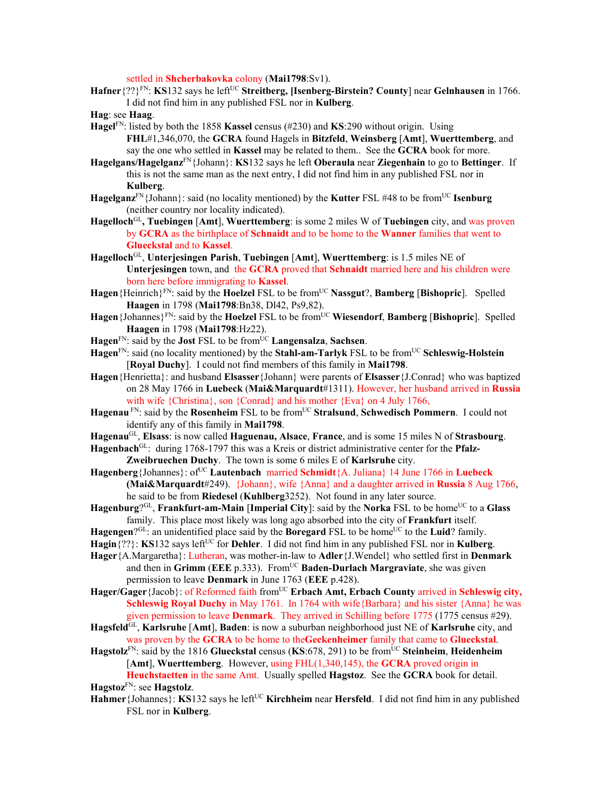settled in **Shcherbakovka** colony (**Mai1798**:Sv1).

- **Hafner**{??}FN: **KS**132 says he leftUC **Streitberg, [Isenberg-Birstein? County**] near **Gelnhausen** in 1766. I did not find him in any published FSL nor in **Kulberg**.
- **Hag**: see **Haag**.
- **Hagel**FN: listed by both the 1858 **Kassel** census (#230) and **KS**:290 without origin. Using **FHL**#1,346,070, the **GCRA** found Hagels in **Bitzfeld**, **Weinsberg** [**Amt**], **Wuerttemberg**, and say the one who settled in **Kassel** may be related to them.. See the **GCRA** book for more.
- **Hagelgans/Hagelganz**FN{Johann}: **KS**132 says he left **Oberaula** near **Ziegenhain** to go to **Bettinger**. If this is not the same man as the next entry, I did not find him in any published FSL nor in **Kulberg**.
- Hagelganz<sup>FN</sup>{Johann}: said (no locality mentioned) by the **Kutter** FSL #48 to be from<sup>UC</sup> **Isenburg** (neither country nor locality indicated).
- **Hagelloch**GL**, Tuebingen** [**Amt**], **Wuerttemberg**: is some 2 miles W of **Tuebingen** city, and was proven by **GCRA** as the birthplace of **Schnaidt** and to be home to the **Wanner** families that went to **Glueckstal** and to **Kassel**.
- **Hagelloch**GL, **Unterjesingen Parish**, **Tuebingen** [**Amt**], **Wuerttemberg**: is 1.5 miles NE of **Unterjesingen** town, and the **GCRA** proved that **Schnaidt** married here and his children were born here before immigrating to **Kassel**.
- **Hagen**{Heinrich}FN: said by the **Hoelzel** FSL to be fromUC **Nassgut**?, **Bamberg** [**Bishopric**]. Spelled **Haagen** in 1798 (**Mai1798**:Bn38, Dl42, Ps9,82).
- **Hagen**{Johannes}FN: said by the **Hoelzel** FSL to be fromUC **Wiesendorf**, **Bamberg** [**Bishopric**]. Spelled **Haagen** in 1798 (**Mai1798**:Hz22).
- Hagen<sup>FN</sup>: said by the **Jost** FSL to be from<sup>UC</sup> **Langensalza**, **Sachsen**.
- **Hagen**FN: said (no locality mentioned) by the **Stahl-am-Tarlyk** FSL to be fromUC **Schleswig-Holstein** [**Royal Duchy**]. I could not find members of this family in **Mai1798**.
- **Hagen**{Henrietta}: and husband **Elsasser**{Johann} were parents of **Elsasser**{J.Conrad} who was baptized on 28 May 1766 in **Luebeck** (**Mai&Marquardt**#1311). However, her husband arrived in **Russia** with wife {Christina}, son {Conrad} and his mother {Eva} on 4 July 1766.
- **Hagenau** FN: said by the **Rosenheim** FSL to be fromUC **Stralsund**, **Schwedisch Pommern**. I could not identify any of this family in **Mai1798**.
- **Hagenau**GL, **Elsass**: is now called **Haguenau, Alsace**, **France**, and is some 15 miles N of **Strasbourg**.
- **Hagenbach**GL: during 1768-1797 this was a Kreis or district administrative center for the **Pfalz-Zweibruechen Duchy**. The town is some 6 miles E of **Karlsruhe** city.
- Hagenberg {Johannes}: of<sup>UC</sup> **Lautenbach** married **Schmidt** {A. Juliana} 14 June 1766 in **Luebeck (Mai&Marquardt**#249). {Johann}, wife {Anna} and a daughter arrived in **Russia** 8 Aug 1766, he said to be from **Riedesel** (**Kuhlberg**3252). Not found in any later source.
- **Hagenburg**?<sup>GL</sup>, **Frankfurt-am-Main [Imperial City**]: said by the **Norka** FSL to be home<sup>UC</sup> to a **Glass** family. This place most likely was long ago absorbed into the city of **Frankfurt** itself.
- Hagengen?<sup>GL</sup>: an unidentified place said by the **Boregard** FSL to be home<sup>UC</sup> to the **Luid**? family.
- **Hagin** $\{??\}$ : **KS**132 says left<sup>UC</sup> for **Dehler**. I did not find him in any published FSL nor in **Kulberg**.
- **Hager**{A.Margaretha}: Lutheran, was mother-in-law to **Adler**{J.Wendel} who settled first in **Denmark** and then in **Grimm** (**EEE** p.333). FromUC **Baden-Durlach Margraviate**, she was given permission to leave **Denmark** in June 1763 (**EEE** p.428).
- Hager/Gager{Jacob}: of Reformed faith from<sup>UC</sup> **Erbach Amt, Erbach County** arrived in **Schleswig city, Schleswig Royal Duchy** in May 1761. In 1764 with wife {Barbara} and his sister {Anna} he was given permission to leave **Denmark**. They arrived in Schilling before 1775 (1775 census #29).
- **Hagsfeld**GL, **Karlsruhe** [**Amt**], **Baden**: is now a suburban neighborhood just NE of **Karlsruhe** city, and was proven by the **GCRA** to be home to the**Geckenheimer** family that came to **Glueckstal**.
- **Hagstolz**FN: said by the 1816 **Glueckstal** census (**KS**:678, 291) to be fromUC **Steinheim**, **Heidenheim** [**Amt**], **Wuerttemberg**. However, using FHL(1,340,145), the **GCRA** proved origin in **Heuchstaetten** in the same Amt.Usually spelled **Hagstoz**. See the **GCRA** book for detail. **Hagstoz**FN: see **Hagstolz**.
- **Hahmer**{Johannes}: **KS**132 says he left<sup>UC</sup> **Kirchheim** near **Hersfeld**. I did not find him in any published FSL nor in **Kulberg**.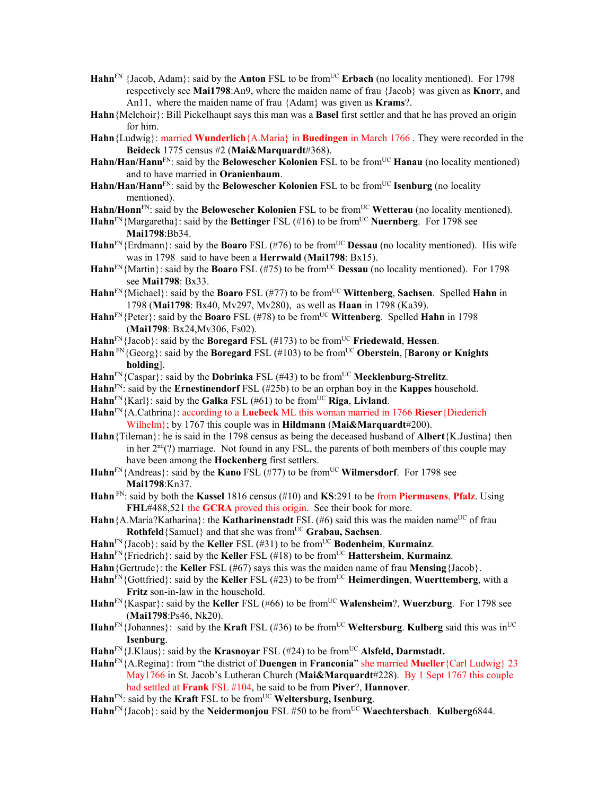- Hahn<sup>FN</sup> {Jacob, Adam}: said by the **Anton** FSL to be from<sup>UC</sup> **Erbach** (no locality mentioned). For 1798 respectively see **Mai1798**:An9, where the maiden name of frau {Jacob} was given as **Knorr**, and An11, where the maiden name of frau {Adam} was given as **Krams**?.
- **Hahn**{Melchoir}: Bill Pickelhaupt says this man was a **Basel** first settler and that he has proved an origin for him.
- **Hahn**{Ludwig}: married **Wunderlich**{A.Maria} in **Buedingen** in March 1766 . They were recorded in the **Beideck** 1775 census #2 (**Mai&Marquardt**#368).
- Hahn/Han/Hann<sup>FN</sup>: said by the **Belowescher Kolonien** FSL to be from<sup>UC</sup> Hanau (no locality mentioned) and to have married in **Oranienbaum**.
- Hahn/Han/Hann<sup>FN</sup>: said by the **Belowescher Kolonien** FSL to be from<sup>UC</sup> **Isenburg** (no locality mentioned).
- Hahn/Honn<sup>FN</sup>: said by the **Belowescher Kolonien** FSL to be from<sup>UC</sup> Wetterau (no locality mentioned).
- Hahn<sup>FN</sup>{Margaretha}: said by the **Bettinger** FSL (#16) to be from<sup>UC</sup> **Nuernberg**. For 1798 see **Mai1798**:Bb34.
- Hahn<sup>FN</sup>{Erdmann}: said by the **Boaro** FSL (#76) to be from<sup>UC</sup> **Dessau** (no locality mentioned). His wife was in 1798 said to have been a **Herrwald** (**Mai1798**: Bx15).
- **Hahn**<sup>FN</sup>{Martin}: said by the **Boaro** FSL (#75) to be from<sup>UC</sup> **Dessau** (no locality mentioned). For 1798 see **Mai1798**: Bx33.
- **Hahn**FN{Michael}: said by the **Boaro** FSL (#77) to be fromUC **Wittenberg**, **Sachsen**. Spelled **Hahn** in 1798 (**Mai1798**: Bx40, Mv297, Mv280), as well as **Haan** in 1798 (Ka39).
- **Hahn**<sup>FN</sup>{Peter}: said by the **Boaro** FSL (#78) to be from<sup>UC</sup> Wittenberg. Spelled **Hahn** in 1798 (**Mai1798**: Bx24,Mv306, Fs02).
- **Hahn**<sup>FN</sup>{Jacob}: said by the **Boregard** FSL (#173) to be from<sup>UC</sup> **Friedewald**, **Hessen**.
- **Hahn** FN{Georg}: said by the **Boregard** FSL (#103) to be fromUC **Oberstein**, [**Barony or Knights holding**].
- $\text{Hahn}^{\text{FN}}$ {Caspar}: said by the **Dobrinka** FSL (#43) to be from<sup>UC</sup> **Mecklenburg-Strelitz**.
- **Hahn**FN: said by the **Ernestinendorf** FSL (#25b) to be an orphan boy in the **Kappes** household.
- **Hahn**<sup>FN</sup>{Karl}: said by the **Galka** FSL (#61) to be from<sup>UC</sup> **Riga**, **Livland**.
- **Hahn**FN{A.Cathrina}: according to a **Luebeck** ML this woman married in 1766 **Rieser**{Diederich Wilhelm}; by 1767 this couple was in **Hildmann** (**Mai&Marquardt**#200).
- **Hahn**{Tileman}: he is said in the 1798 census as being the deceased husband of **Albert**{K.Justina} then in her  $2<sup>nd</sup>(?)$  marriage. Not found in any FSL, the parents of both members of this couple may have been among the **Hockenberg** first settlers.
- Hahn<sup>FN</sup>{Andreas}: said by the **Kano** FSL (#77) to be from<sup>UC</sup> **Wilmersdorf**. For 1798 see **Mai1798**:Kn37.
- **Hahn** FN: said by both the **Kassel** 1816 census (#10) and **KS**:291 to be from **Piermasens**, **Pfalz**. Using **FHL**#488,521 the **GCRA** proved this origin. See their book for more.
- Hahn {A.Maria?Katharina}: the **Katharinenstadt** FSL (#6) said this was the maiden name<sup>UC</sup> of frau **Rothfeld** {Samuel} and that she was from<sup>UC</sup> **Grabau, Sachsen**.
- **Hahn**FN{Jacob}: said by the **Keller** FSL (#31) to be fromUC **Bodenheim**, **Kurmainz**.
- **Hahn**<sup>FN</sup>{Friedrich}: said by the **Keller** FSL (#18) to be from<sup>UC</sup> **Hattersheim**, **Kurmainz**.
- **Hahn**{Gertrude}: the **Keller** FSL (#67) says this was the maiden name of frau **Mensing**{Jacob}.
- **Hahn**<sup>FN</sup>{Gottfried}: said by the **Keller** FSL (#23) to be from<sup>UC</sup> **Heimerdingen**, **Wuerttemberg**, with a **Fritz** son-in-law in the household.
- **Hahn**FN{Kaspar}: said by the **Keller** FSL (#66) to be fromUC **Walensheim**?, **Wuerzburg**. For 1798 see (**Mai1798**:Ps46, Nk20).
- $\text{Hahn}^{\text{FN}}\{\text{Johannes}\}\$ : said by the **Kraft** FSL (#36) to be from<sup>UC</sup> Weltersburg. Kulberg said this was in<sup>UC</sup> **Isenburg**.
- Hahn<sup>FN</sup>{J.Klaus}: said by the **Krasnovar** FSL (#24) to be from<sup>UC</sup> Alsfeld, Darmstadt.
- **Hahn**FN{A.Regina}: from "the district of **Duengen** in **Franconia**" she married **Mueller**{Carl Ludwig} 23 May1766 in St. Jacob's Lutheran Church (**Mai&Marquardt**#228). By 1 Sept 1767 this couple had settled at **Frank** FSL #104, he said to be from **Piver**?, **Hannover**.
- $\mathbf{Hahn}^{\text{FN}}$ : said by the **Kraft** FSL to be from<sup>UC</sup> **Weltersburg, Isenburg**.
- Hahn<sup>FN</sup>{Jacob}: said by the **Neidermonjou** FSL #50 to be from<sup>UC</sup> Waechtersbach. Kulberg6844.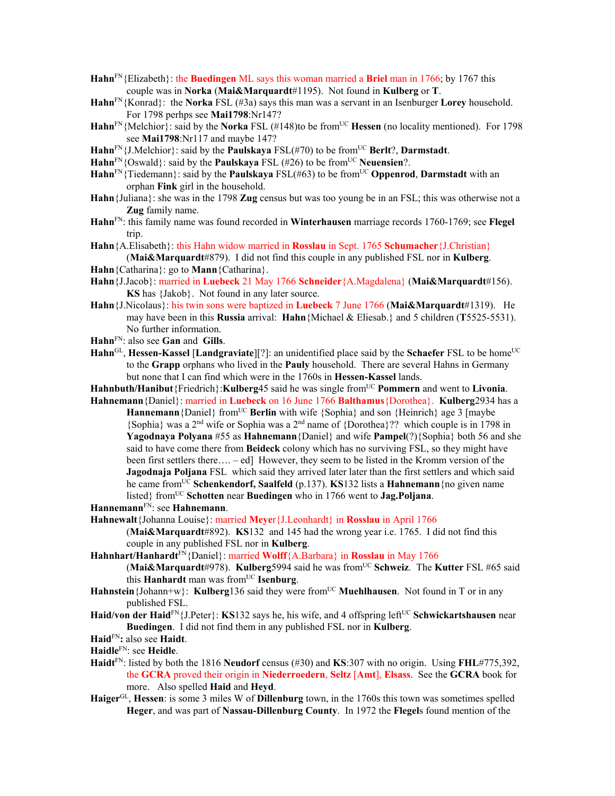- **Hahn**FN{Elizabeth}: the **Buedingen** ML says this woman married a **Briel** man in 1766; by 1767 this couple was in **Norka** (**Mai&Marquardt**#1195). Not found in **Kulberg** or **T**.
- **Hahn**FN{Konrad}: the **Norka** FSL (#3a) says this man was a servant in an Isenburger **Lorey** household. For 1798 perhps see **Mai1798**:Nr147?
- **Hahn**<sup>FN</sup>{Melchior}: said by the **Norka** FSL (#148)to be from<sup>UC</sup> **Hessen** (no locality mentioned). For 1798 see **Mai1798**:Nr117 and maybe 147?
- $\text{Hahn}^{\text{FN}}\{\text{J.Melchior}\}\text{: said by the **Pauliskaya** FSL(\#70) to be from  $^{UC}$  Berlt?, **Darmstadt**.$
- Hahn<sup>FN</sup>{Oswald}: said by the **Paulskaya** FSL (#26) to be from<sup>UC</sup> **Neuensien**?.
- Hahn<sup>FN</sup>{Tiedemann}: said by the **Paulskaya** FSL(#63) to be from<sup>UC</sup> **Oppenrod**, **Darmstadt** with an orphan **Fink** girl in the household.
- **Hahn**{Juliana}: she was in the 1798 **Zug** census but was too young be in an FSL; this was otherwise not a **Zug** family name.
- **Hahn**FN: this family name was found recorded in **Winterhausen** marriage records 1760-1769; see **Flegel** trip.
- **Hahn**{A.Elisabeth}: this Hahn widow married in **Rosslau** in Sept. 1765 **Schumacher**{J.Christian} (**Mai&Marquardt**#879). I did not find this couple in any published FSL nor in **Kulberg**.
- **Hahn**{Catharina}: go to **Mann**{Catharina}.
- **Hahn**{J.Jacob}: married in **Luebeck** 21 May 1766 **Schneider**{A.Magdalena} (**Mai&Marquardt**#156). **KS** has {Jakob}. Not found in any later source.
- **Hahn**{J.Nicolaus}: his twin sons were baptized in **Luebeck** 7 June 1766 (**Mai&Marquardt**#1319). He may have been in this **Russia** arrival: **Hahn**{Michael & Eliesab.} and 5 children (**T**5525-5531). No further information.
- **Hahn**FN: also see **Gan** and **Gills**.
- **Hahn**<sup>GL</sup>, **Hessen-Kassel** [Landgraviate][?]: an unidentified place said by the **Schaefer** FSL to be home<sup>UC</sup> to the **Grapp** orphans who lived in the **Pauly** household. There are several Hahns in Germany but none that I can find which were in the 1760s in **Hessen-Kassel** lands.

**Hahnbuth/Hanibut**{Friedrich}:**Kulberg**45 said he was single fromUC **Pommern** and went to **Livonia**.

- **Hahnemann**{Daniel}: married in **Luebeck** on 16 June 1766 **Balthamus**{Dorothea}. **Kulberg**2934 has a **Hannemann** {Daniel} from<sup>UC</sup> **Berlin** with wife  $\{Sophia\}$  and son  $\{Heinrich\}$  age 3 [maybe {Sophia} was a 2nd wife or Sophia was a 2nd name of {Dorothea}?? which couple is in 1798 in **Yagodnaya Polyana** #55 as **Hahnemann**{Daniel} and wife **Pampel**(?){Sophia} both 56 and she said to have come there from **Beideck** colony which has no surviving FSL, so they might have been first settlers there…. – ed] However, they seem to be listed in the Kromm version of the **Jagodnaja Poljana** FSL which said they arrived later later than the first settlers and which said he came fromUC **Schenkendorf, Saalfeld** (p.137). **KS**132 lists a **Hahnemann**{no given name listed} from<sup>UC</sup> Schotten near **Buedingen** who in 1766 went to **Jag.Poljana**.
- **Hannemann**FN: see **Hahnemann**.
- **Hahnewalt**{Johanna Louise}: married **Meye**r{J.Leonhardt} in **Rosslau** in April 1766
	- (**Mai&Marquardt**#892). **KS**132 and 145 had the wrong year i.e. 1765. I did not find this couple in any published FSL nor in **Kulberg**.
- **Hahnhart/Hanhardt**FN{Daniel}: married **Wolff**{A.Barbara} in **Rosslau** in May 1766
	- (**Mai&Marquardt**#978). **Kulberg**5994 said he was fromUC **Schweiz**. The **Kutter** FSL #65 said this **Hanhardt** man was fromUC **Isenburg**.
- **Hahnstein** {Johann+w}: **Kulberg** 136 said they were from<sup>UC</sup> **Muehlhausen**. Not found in T or in any published FSL.
- **Haid/von der Haid**FN{J.Peter}: **KS**132 says he, his wife, and 4 offspring leftUC **Schwickartshausen** near **Buedingen**. I did not find them in any published FSL nor in **Kulberg**.
- **Haid**FN**:** also see **Haidt**.
- **Haidle**FN: see **Heidle**.
- **Haidt**FN: listed by both the 1816 **Neudorf** census (#30) and **KS**:307 with no origin. Using **FHL**#775,392, the **GCRA** proved their origin in **Niederroedern**, **Seltz** [**Amt**], **Elsass**. See the **GCRA** book for more. Also spelled **Haid** and **Heyd**.
- **Haiger**GL, **Hessen**: is some 3 miles W of **Dillenburg** town, in the 1760s this town was sometimes spelled **Heger**, and was part of **Nassau-Dillenburg County**. In 1972 the **Flegel**s found mention of the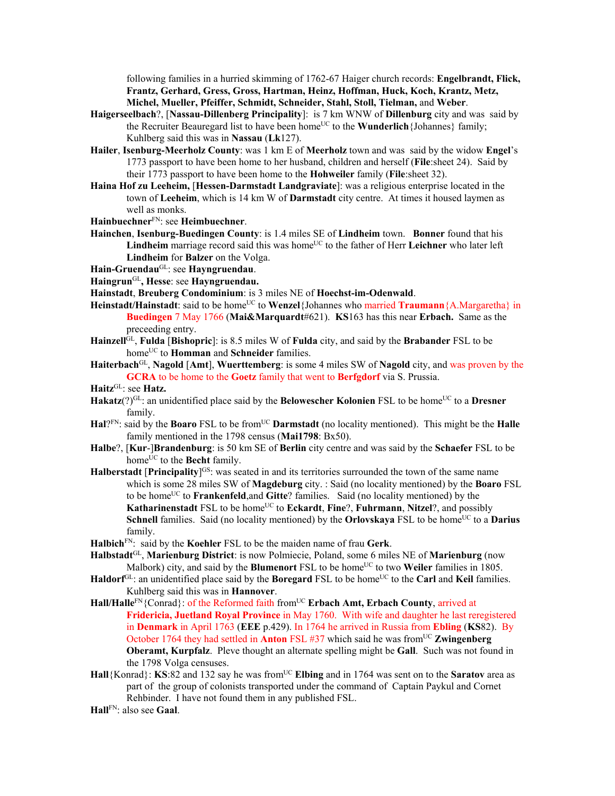following families in a hurried skimming of 1762-67 Haiger church records: **Engelbrandt, Flick, Frantz, Gerhard, Gress, Gross, Hartman, Heinz, Hoffman, Huck, Koch, Krantz, Metz, Michel, Mueller, Pfeiffer, Schmidt, Schneider, Stahl, Stoll, Tielman,** and **Weber**.

- **Haigerseelbach**?, [**Nassau-Dillenberg Principality**]: is 7 km WNW of **Dillenburg** city and was said by the Recruiter Beauregard list to have been home<sup>UC</sup> to the **Wunderlich**{Johannes} family; Kuhlberg said this was in **Nassau** (**Lk**127).
- **Hailer**, **Isenburg-Meerholz County**: was 1 km E of **Meerholz** town and was said by the widow **Engel**'s 1773 passport to have been home to her husband, children and herself (**File**:sheet 24). Said by their 1773 passport to have been home to the **Hohweiler** family (**File**:sheet 32).
- **Haina Hof zu Leeheim,** [**Hessen-Darmstadt Landgraviate**]: was a religious enterprise located in the town of **Leeheim**, which is 14 km W of **Darmstadt** city centre. At times it housed laymen as well as monks.

**Hainbuechner**FN: see **Heimbuechner**.

**Hainchen**, **Isenburg-Buedingen County**: is 1.4 miles SE of **Lindheim** town. **Bonner** found that his Lindheim marriage record said this was home<sup>UC</sup> to the father of Herr Leichner who later left **Lindheim** for **Balzer** on the Volga.

**Hain-Gruendau**GL: see **Hayngruendau**.

**Haingrun**GL**, Hesse**: see **Hayngruendau.** 

**Hainstadt**, **Breuberg Condominium**: is 3 miles NE of **Hoechst-im-Odenwald**.

- **Heinstadt/Hainstadt**: said to be home<sup>UC</sup> to **Wenzel**{Johannes who married **Traumann**{A.Margaretha} in **Buedingen** 7 May 1766 (**Mai&Marquardt**#621). **KS**163 has this near **Erbach.** Same as the preceeding entry.
- **Hainzell**GL, **Fulda** [**Bishopric**]: is 8.5 miles W of **Fulda** city, and said by the **Brabander** FSL to be home<sup>UC</sup> to **Homman** and **Schneider** families.
- **Haiterbach**GL, **Nagold** [**Amt**], **Wuerttemberg**: is some 4 miles SW of **Nagold** city, and was proven by the **GCRA** to be home to the **Goetz** family that went to **Berfgdorf** via S. Prussia.

**Haitz**GL: see **Hatz.**

- **Hakatz**(?)<sup>GL</sup>: an unidentified place said by the **Belowescher Kolonien** FSL to be home<sup>UC</sup> to a **Dresner** family.
- **Hal**?<sup>FN</sup>: said by the **Boaro** FSL to be from<sup>UC</sup> **Darmstadt** (no locality mentioned). This might be the **Halle** family mentioned in the 1798 census (**Mai1798**: Bx50).
- **Halbe**?, [**Kur**-]**Brandenburg**: is 50 km SE of **Berlin** city centre and was said by the **Schaefer** FSL to be home<sup>UC</sup> to the **Becht** family.
- **Halberstadt [Principality**]<sup>GS</sup>: was seated in and its territories surrounded the town of the same name which is some 28 miles SW of **Magdeburg** city. : Said (no locality mentioned) by the **Boaro** FSL to be homeUC to **Frankenfeld**,and **Gitte**? families. Said (no locality mentioned) by the **Katharinenstadt** FSL to be home<sup>UC</sup> to **Eckardt**, **Fine**?, **Fuhrmann**, **Nitzel**?, and possibly **Schnell** families. Said (no locality mentioned) by the **Orlovskaya** FSL to be home<sup>UC</sup> to a **Darius** family.
- **Halbich**FN: said by the **Koehler** FSL to be the maiden name of frau **Gerk**.
- **Halbstadt**GL, **Marienburg District**: is now Polmiecie, Poland, some 6 miles NE of **Marienburg** (now Malbork) city, and said by the **Blumenort** FSL to be home<sup>UC</sup> to two **Weiler** families in 1805.
- Haldorf<sup>GL</sup>: an unidentified place said by the **Boregard** FSL to be home<sup>UC</sup> to the **Carl** and **Keil** families. Kuhlberg said this was in **Hannover**.
- Hall/Halle<sup>FN</sup>{Conrad}: of the Reformed faith from<sup>UC</sup> Erbach Amt, Erbach County, arrived at **Fridericia, Juetland Royal Province** in May 1760. With wife and daughter he last reregistered in **Denmark** in April 1763 (**EEE** p.429). In 1764 he arrived in Russia from **Ebling** (**KS**82). By October 1764 they had settled in **Anton** FSL #37 which said he was from<sup>UC</sup> **Zwingenberg Oberamt, Kurpfalz**.Pleve thought an alternate spelling might be **Gall**. Such was not found in the 1798 Volga censuses.
- **Hall**{Konrad}: **KS**:82 and 132 say he was from<sup>UC</sup> **Elbing** and in 1764 was sent on to the **Saratov** area as part of the group of colonists transported under the command of Captain Paykul and Cornet Rehbinder. I have not found them in any published FSL.
- **Hall**FN: also see **Gaal**.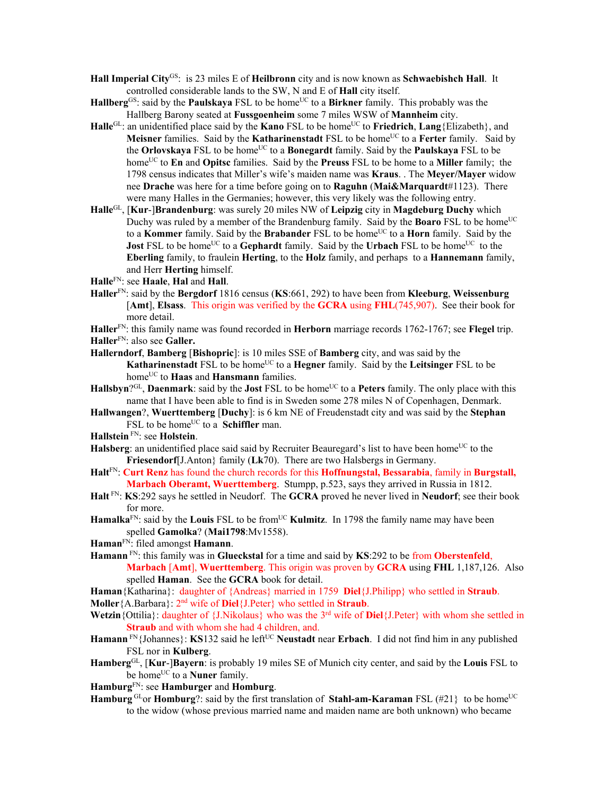- **Hall Imperial City**GS: is 23 miles E of **Heilbronn** city and is now known as **Schwaebishch Hall**. It controlled considerable lands to the SW, N and E of **Hall** city itself.
- **Hallberg**<sup>GS</sup>: said by the **Paulskaya** FSL to be home<sup>UC</sup> to a **Birkner** family. This probably was the Hallberg Barony seated at **Fussgoenheim** some 7 miles WSW of **Mannheim** city.
- **Halle**<sup>GL</sup>: an unidentified place said by the **Kano** FSL to be home<sup>UC</sup> to **Friedrich**, **Lang**{Elizabeth}, and **Meisner** families. Said by the **Katharinenstadt** FSL to be home<sup>UC</sup> to a Ferter family. Said by the **Orlovskaya** FSL to be home<sup>UC</sup> to a **Bonegardt** family. Said by the **Paulskaya** FSL to be homeUC to **En** and **Opitsc** families. Said by the **Preuss** FSL to be home to a **Miller** family; the 1798 census indicates that Miller's wife's maiden name was **Kraus**. . The **Meyer/Mayer** widow nee **Drache** was here for a time before going on to **Raguhn** (**Mai&Marquardt**#1123). There were many Halles in the Germanies; however, this very likely was the following entry.
- **Halle**GL, [**Kur**-]**Brandenburg**: was surely 20 miles NW of **Leipzig** city in **Magdeburg Duchy** which Duchy was ruled by a member of the Brandenburg family. Said by the **Boaro** FSL to be home<sup>UC</sup> to a **Kommer** family. Said by the **Brabander** FSL to be home<sup>UC</sup> to a **Horn** family. Said by the **Jost** FSL to be home<sup>UC</sup> to a **Gephardt** family. Said by the **Urbach** FSL to be home<sup>UC</sup> to the **Eberling** family, to fraulein **Herting**, to the **Holz** family, and perhaps to a **Hannemann** family, and Herr **Herting** himself.

**Halle**FN: see **Haale**, **Hal** and **Hall**.

- **Haller**FN: said by the **Bergdorf** 1816 census (**KS**:661, 292) to have been from **Kleeburg**, **Weissenburg** [**Amt**], **Elsass**. This origin was verified by the **GCRA** using **FHL**(745,907). See their book for more detail.
- **Haller**FN: this family name was found recorded in **Herborn** marriage records 1762-1767; see **Flegel** trip. **Haller**FN: also see **Galler.**
- **Hallerndorf**, **Bamberg** [**Bishopric**]: is 10 miles SSE of **Bamberg** city, and was said by the **Katharinenstadt** FSL to be home<sup>UC</sup> to a **Hegner** family. Said by the **Leitsinger** FSL to be home<sup>UC</sup> to **Haas** and **Hansmann** families.
- **Hallsbyn**?<sup>GL</sup>, **Daenmark**: said by the **Jost** FSL to be home<sup>UC</sup> to a **Peters** family. The only place with this name that I have been able to find is in Sweden some 278 miles N of Copenhagen, Denmark.
- **Hallwangen**?, **Wuerttemberg** [**Duchy**]: is 6 km NE of Freudenstadt city and was said by the **Stephan** FSL to be home<sup>UC</sup> to a **Schiffler** man.
- **Hallstein** FN: see **Holstein**.
- **Halsberg**: an unidentified place said said by Recruiter Beauregard's list to have been home<sup>UC</sup> to the **Friesendorf**[J.Anton} family (**Lk**70). There are two Halsbergs in Germany.
- **Halt**FN: **Curt Renz** has found the church records for this **Hoffnungstal, Bessarabia**, family in **Burgstall, Marbach Oberamt, Wuerttemberg**. Stumpp, p.523, says they arrived in Russia in 1812.
- **Halt** FN: **KS**:292 says he settled in Neudorf. The **GCRA** proved he never lived in **Neudorf**; see their book for more.
- **Hamalka**<sup>FN</sup>: said by the **Louis** FSL to be from<sup>UC</sup> **Kulmitz**. In 1798 the family name may have been spelled **Gamolka**? (**Mai1798**:Mv1558).
- **Haman**FN: filed amongst **Hamann**.
- **Hamann** FN: this family was in **Glueckstal** for a time and said by **KS**:292 to be from **Oberstenfeld**, **Marbach** [**Amt**], **Wuerttemberg**. This origin was proven by **GCRA** using **FHL** 1,187,126. Also spelled **Haman**. See the **GCRA** book for detail.
- **Haman**{Katharina}: daughter of {Andreas} married in 1759 **Diel**{J.Philipp} who settled in **Straub**.
- **Moller**{A.Barbara}:  $2^{nd}$  wife of **Diel**{J.Peter} who settled in **Straub**.
- Wetzin {Ottilia}: daughter of {J.Nikolaus} who was the 3<sup>rd</sup> wife of **Diel**{J.Peter} with whom she settled in **Straub** and with whom she had 4 children, and.
- **Hamann** FN{Johannes}: **KS**132 said he left<sup>UC</sup> **Neustadt** near **Erbach**. I did not find him in any published FSL nor in **Kulberg**.
- **Hamberg**GL, [**Kur**-]**Bayern**: is probably 19 miles SE of Munich city center, and said by the **Louis** FSL to be home<sup>UC</sup> to a **Nuner** family.
- **Hamburg**FN: see **Hamburger** and **Homburg**.
- **Hamburg**<sup>GL</sup>or **Homburg**?: said by the first translation of **Stahl-am-Karaman** FSL (#21} to be home<sup>UC</sup> to the widow (whose previous married name and maiden name are both unknown) who became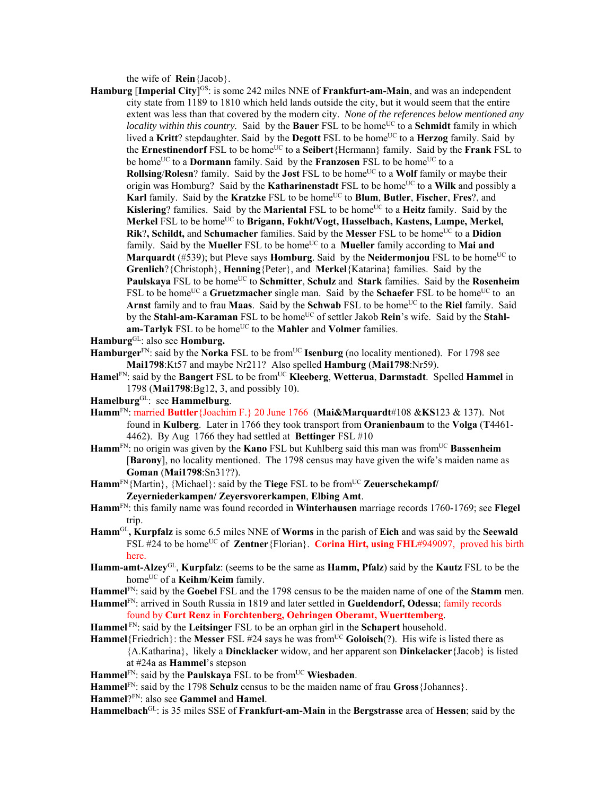the wife of **Rein**{Jacob}.

- **Hamburg** [Imperial City]<sup>GS</sup>: is some 242 miles NNE of **Frankfurt-am-Main**, and was an independent city state from 1189 to 1810 which held lands outside the city, but it would seem that the entire extent was less than that covered by the modern city. *None of the references below mentioned any locality within this country*. Said by the **Bauer** FSL to be home<sup>UC</sup> to a **Schmidt** family in which lived a Kritt? stepdaughter. Said by the Degott FSL to be home<sup>UC</sup> to a Herzog family. Said by the **Ernestinendorf** FSL to be home<sup>UC</sup> to a **Seibert**{Hermann} family. Said by the **Frank** FSL to be home<sup>UC</sup> to a **Dormann** family. Said by the **Franzosen** FSL to be home<sup>UC</sup> to a **Rollsing/Rolesn**? family. Said by the **Jost** FSL to be home<sup>UC</sup> to a Wolf family or maybe their origin was Homburg? Said by the **Katharinenstadt** FSL to be home<sup>UC</sup> to a **Wilk** and possibly a Karl family. Said by the Kratzke FSL to be home<sup>UC</sup> to Blum, Butler, Fischer, Fres?, and **Kislering**? families. Said by the **Mariental** FSL to be home<sup>UC</sup> to a **Heitz** family. Said by the Merkel FSL to be home<sup>UC</sup> to Brigann, Fokht/Vogt, Hasselbach, Kastens, Lampe, Merkel, **Rik**?, Schildt, and Schumacher families. Said by the Messer FSL to be home<sup>UC</sup> to a Didion family. Said by the **Mueller** FSL to be home<sup>UC</sup> to a **Mueller** family according to **Mai and Marquardt** (#539); but Pleve says **Homburg**. Said by the **Neidermoniou** FSL to be home<sup>UC</sup> to **Grenlich**?{Christoph}, **Henning**{Peter}, and **Merkel**{Katarina} families. Said by the **Paulskaya** FSL to be homeUC to **Schmitter**, **Schulz** and **Stark** families. Said by the **Rosenheim** FSL to be home<sup>UC</sup> a Gruetzmacher single man. Said by the **Schaefer** FSL to be home<sup>UC</sup> to an **Arnst** family and to frau **Maas**. Said by the **Schwab** FSL to be home<sup>UC</sup> to the **Riel** family. Said by the **Stahl-am-Karaman** FSL to be home<sup>UC</sup> of settler Jakob **Rein**'s wife. Said by the **Stahlam-Tarlyk** FSL to be home<sup>UC</sup> to the **Mahler** and **Volmer** families.
- **Hamburg**GL: also see **Homburg.**
- Hamburger<sup>FN</sup>: said by the **Norka** FSL to be from<sup>UC</sup> **Isenburg** (no locality mentioned). For 1798 see **Mai1798**:Kt57 and maybe Nr211? Also spelled **Hamburg** (**Mai1798**:Nr59).
- Hamel<sup>FN</sup>: said by the **Bangert** FSL to be from<sup>UC</sup> **Kleeberg**, **Wetterua**, **Darmstadt**. Spelled **Hammel** in 1798 (**Mai1798**:Bg12, 3, and possibly 10).
- **Hamelburg**GL: see **Hammelburg**.
- **Hamm**FN: married **Buttler**{Joachim F.} 20 June 1766 (**Mai&Marquardt**#108 &**KS**123 & 137). Not found in **Kulberg**. Later in 1766 they took transport from **Oranienbaum** to the **Volga** (**T**4461- 4462). By Aug 1766 they had settled at **Bettinger** FSL #10
- Hamm<sup>FN</sup>: no origin was given by the **Kano** FSL but Kuhlberg said this man was from<sup>UC</sup> Bassenheim [**Barony**], no locality mentioned. The 1798 census may have given the wife's maiden name as **Goman** (**Mai1798**:Sn31??).
- Hamm<sup>FN</sup>{Martin}, {Michael}: said by the **Tiege** FSL to be from<sup>UC</sup> **Zeuerschekampf**/ **Zeyerniederkampen/ Zeyersvorerkampen**, **Elbing Amt**.
- **Hamm**FN: this family name was found recorded in **Winterhausen** marriage records 1760-1769; see **Flegel** trip.
- **Hamm**GL**, Kurpfalz** is some 6.5 miles NNE of **Worms** in the parish of **Eich** and was said by the **Seewald** FSL #24 to be home<sup>UC</sup> of **Zentner**{Florian}. **Corina Hirt, using FHL**#949097, proved his birth here.
- **Hamm-amt-Alzey**GL, **Kurpfalz**: (seems to be the same as **Hamm, Pfalz**) said by the **Kautz** FSL to be the home<sup>UC</sup> of a **Keihm/Keim** family.
- **Hammel**FN: said by the **Goebel** FSL and the 1798 census to be the maiden name of one of the **Stamm** men.
- **Hammel**FN: arrived in South Russia in 1819 and later settled in **Gueldendorf, Odessa**; family records found by **Curt Renz** in **Forchtenberg, Oehringen Oberamt, Wuerttemberg**.
- **Hammel** FN: said by the **Leitsinger** FSL to be an orphan girl in the **Schapert** household.
- **Hammel**{Friedrich}: the **Messer** FSL #24 says he was from<sup>UC</sup> **Goloisch**(?). His wife is listed there as {A.Katharina}, likely a **Dincklacker** widow, and her apparent son **Dinkelacker**{Jacob} is listed at #24a as **Hammel**'s stepson
- Hammel<sup>FN</sup>: said by the **Paulskaya** FSL to be from<sup>UC</sup> Wiesbaden.

**Hammel**FN: said by the 1798 **Schulz** census to be the maiden name of frau **Gross**{Johannes}.

**Hammel**?FN: also see **Gammel** and **Hamel**.

**Hammelbach**GL: is 35 miles SSE of **Frankfurt-am-Main** in the **Bergstrasse** area of **Hessen**; said by the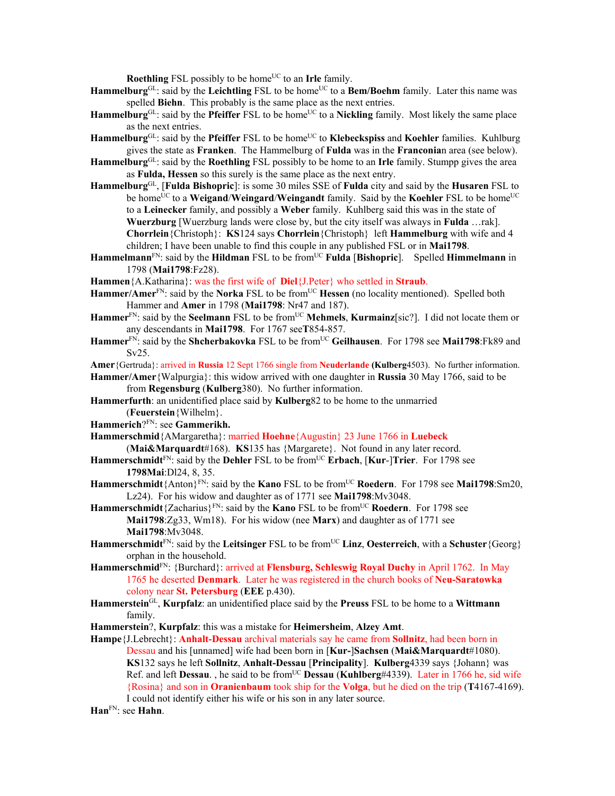**Roethling** FSL possibly to be home<sup>UC</sup> to an Irle family.

- Hammelburg<sup>GL</sup>: said by the Leichtling FSL to be home<sup>UC</sup> to a Bem/Boehm family. Later this name was spelled **Biehn**. This probably is the same place as the next entries.
- **Hammelburg**<sup>GL</sup>: said by the **Pfeiffer** FSL to be home<sup>UC</sup> to a **Nickling** family. Most likely the same place as the next entries.
- Hammelburg<sup>GL</sup>: said by the Pfeiffer FSL to be home<sup>UC</sup> to Klebeckspiss and Koehler families. Kuhlburg gives the state as **Franken**. The Hammelburg of **Fulda** was in the **Franconia**n area (see below).
- **Hammelburg**GL: said by the **Roethling** FSL possibly to be home to an **Irle** family. Stumpp gives the area as **Fulda, Hessen** so this surely is the same place as the next entry.
- **Hammelburg**GL, [**Fulda Bishopric**]: is some 30 miles SSE of **Fulda** city and said by the **Husaren** FSL to be home<sup>UC</sup> to a **Weigand/Weingard/Weingandt** family. Said by the **Koehler** FSL to be home<sup>UC</sup> to a **Leinecker** family, and possibly a **Weber** family. Kuhlberg said this was in the state of **Wuerzburg** [Wuerzburg lands were close by, but the city itself was always in **Fulda** …rak]. **Chorrlein**{Christoph}: **KS**124 says **Chorrlein**{Christoph} left **Hammelburg** with wife and 4 children; I have been unable to find this couple in any published FSL or in **Mai1798**.
- **Hammelmann**<sup>FN</sup>: said by the **Hildman** FSL to be from<sup>UC</sup> **Fulda** [Bishopric]. Spelled **Himmelmann** in 1798 (**Mai1798**:Fz28).
- **Hammen**{A.Katharina}: was the first wife of **Diel**{J.Peter} who settled in **Straub**.
- Hammer/Amer<sup>FN</sup>: said by the **Norka** FSL to be from<sup>UC</sup> Hessen (no locality mentioned). Spelled both Hammer and **Amer** in 1798 (**Mai1798**: Nr47 and 187).
- **Hammer**<sup>FN</sup>: said by the **Seelmann** FSL to be from<sup>UC</sup> **Mehmels**, **Kurmainz**[sic?]. I did not locate them or any descendants in **Mai1798**. For 1767 see**T**854-857.
- Hammer<sup>FN</sup>: said by the **Shcherbakovka** FSL to be from<sup>UC</sup> Geilhausen. For 1798 see Mai1798:Fk89 and Sv25.
- **Amer**{Gertruda}: arrived in **Russia** 12 Sept 1766 single from **Neuderlande (Kulberg**4503). No further information.

**Hammer/Amer**{Walpurgia}: this widow arrived with one daughter in **Russia** 30 May 1766, said to be from **Regensburg** (**Kulberg**380). No further information.

- **Hammerfurth**: an unidentified place said by **Kulberg**82 to be home to the unmarried (**Feuerstein**{Wilhelm}.
- **Hammerich**?FN: see **Gammerikh.**
- **Hammerschmid**{AMargaretha}: married **Hoehne**{Augustin} 23 June 1766 in **Luebeck**  (**Mai&Marquardt**#168). **KS**135 has {Margarete}. Not found in any later record.
- **Hammerschmidt**FN: said by the **Dehler** FSL to be fromUC **Erbach**, [**Kur**-]**Trier**. For 1798 see **1798Mai**:Dl24, 8, 35.
- **Hammerschmidt**{Anton}FN: said by the **Kano** FSL to be fromUC **Roedern**. For 1798 see **Mai1798**:Sm20, Lz24). For his widow and daughter as of 1771 see **Mai1798**:Mv3048.
- **Hammerschmidt**{Zacharius}FN: said by the **Kano** FSL to be fromUC **Roedern**. For 1798 see **Mai1798**:Zg33, Wm18). For his widow (nee **Marx**) and daughter as of 1771 see **Mai1798**:Mv3048.
- **Hammerschmidt**<sup>FN</sup>: said by the **Leitsinger** FSL to be from<sup>UC</sup> **Linz**, **Oesterreich**, with a **Schuster**{Georg} orphan in the household.
- **Hammerschmid**FN: {Burchard}: arrived at **Flensburg, Schleswig Royal Duchy** in April 1762. In May 1765 he deserted **Denmark**. Later he was registered in the church books of **Neu-Saratowka** colony near **St. Petersburg** (**EEE** p.430).
- **Hammerstein**GL, **Kurpfalz**: an unidentified place said by the **Preuss** FSL to be home to a **Wittmann** family.
- **Hammerstein**?, **Kurpfalz**: this was a mistake for **Heimersheim**, **Alzey Amt**.
- **Hampe**{J.Lebrecht}: **Anhalt-Dessau** archival materials say he came from **Sollnitz**, had been born in Dessau and his [unnamed] wife had been born in [**Kur-**]**Sachsen** (**Mai&Marquardt**#1080). **KS**132 says he left **Sollnitz**, **Anhalt-Dessau** [**Principality**]. **Kulberg**4339 says {Johann} was Ref. and left **Dessau**. , he said to be fromUC **Dessau** (**Kuhlberg**#4339). Later in 1766 he, sid wife {Rosina} and son in **Oranienbaum** took ship for the **Volga**, but he died on the trip (**T**4167-4169). I could not identify either his wife or his son in any later source.
- **Han**FN: see **Hahn**.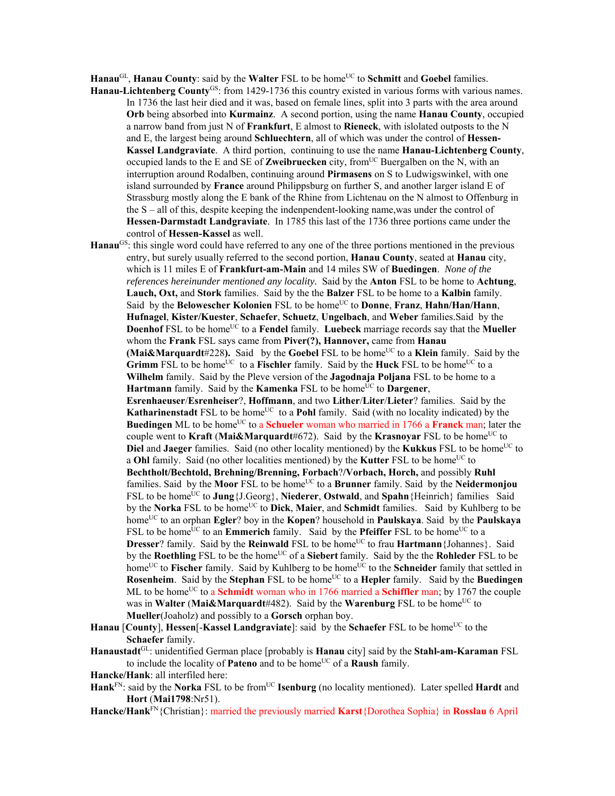Hanau<sup>GL</sup>, **Hanau County**: said by the **Walter** FSL to be home<sup>UC</sup> to **Schmitt** and **Goebel** families.

- **Hanau-Lichtenberg County**GS: from 1429-1736 this country existed in various forms with various names. In 1736 the last heir died and it was, based on female lines, split into 3 parts with the area around **Orb** being absorbed into **Kurmainz**. A second portion, using the name **Hanau County**, occupied a narrow band from just N of **Frankfurt**, E almost to **Rieneck**, with islolated outposts to the N and E, the largest being around **Schluechtern**, all of which was under the control of **Hessen-Kassel Landgraviate**. A third portion, continuing to use the name **Hanau-Lichtenberg County**, occupied lands to the E and SE of **Zweibruecken** city, from<sup>UC</sup> Buergalben on the N, with an interruption around Rodalben, continuing around **Pirmasens** on S to Ludwigswinkel, with one island surrounded by **France** around Philippsburg on further S, and another larger island E of Strassburg mostly along the E bank of the Rhine from Lichtenau on the N almost to Offenburg in the S – all of this, despite keeping the indenpendent-looking name,was under the control of **Hessen-Darmstadt Landgraviate**. In 1785 this last of the 1736 three portions came under the control of **Hessen-Kassel** as well.
- **Hanau**GS: this single word could have referred to any one of the three portions mentioned in the previous entry, but surely usually referred to the second portion, **Hanau County**, seated at **Hanau** city, which is 11 miles E of **Frankfurt-am-Main** and 14 miles SW of **Buedingen**. *None of the references hereinunder mentioned any locality.* Said by the **Anton** FSL to be home to **Achtung**, **Lauch, Oxt,** and **Stork** families. Said by the the **Balzer** FSL to be home to a **Kalbin** family. Said by the **Belowescher Kolonien** FSL to be home<sup>UC</sup> to **Donne**, Franz, Hahn/Han/Hann, **Hufnagel**, **Kister/Kuester**, **Schaefer**, **Schuetz**, **Ungelbach**, and **Weber** families.Said by the **Doenhof** FSL to be home<sup>UC</sup> to a **Fendel** family. **Luebeck** marriage records say that the **Mueller** whom the **Frank** FSL says came from **Piver(?), Hannover,** came from **Hanau (Mai&Marquardt**#228). Said by the **Goebel** FSL to be home<sup>UC</sup> to a **Klein** family. Said by the **Grimm** FSL to be home<sup>UC</sup> to a Fischler family. Said by the Huck FSL to be home<sup>UC</sup> to a **Wilhelm** family. Said by the Pleve version of the **Jagodnaja Poljana** FSL to be home to a **Hartmann** family. Said by the **Kamenka** FSL to be home<sup>UC</sup> to **Dargener**, **Esrenhaeuser**/**Esrenheiser**?, **Hoffmann**, and two **Lither**/**Liter**/**Lieter**? families. Said by the **Katharinenstadt** FSL to be home<sup>UC</sup> to a **Pohl** family. Said (with no locality indicated) by the **Buedingen** ML to be home<sup>UC</sup> to a **Schueler** woman who married in 1766 a **Franck** man; later the couple went to **Kraft** (Mai&Marquardt#672). Said by the **Krasnoyar** FSL to be home<sup>UC</sup> to **Diel** and **Jaeger** families. Said (no other locality mentioned) by the **Kukkus** FSL to be home<sup>UC</sup> to a **Ohl** family. Said (no other localities mentioned) by the **Kutter** FSL to be home<sup>UC</sup> to **Bechtholt/Bechtold, Brehning/Brenning, Forbach**?**/Vorbach, Horch,** and possibly **Ruhl** families. Said by the **Moor** FSL to be home<sup>UC</sup> to a **Brunner** family. Said by the **Neidermonjou** FSL to be home<sup>UC</sup> to **Jung**{J.Georg}, **Niederer**, **Ostwald**, and **Spahn**{Heinrich} families Said by the **Norka** FSL to be home<sup>UC</sup> to **Dick**, **Maier**, and **Schmidt** families. Said by Kuhlberg to be homeUC to an orphan **Egler**? boy in the **Kopen**? household in **Paulskaya**. Said by the **Paulskaya** FSL to be home<sup>UC</sup> to an **Emmerich** family. Said by the **Pfeiffer** FSL to be home<sup>UC</sup> to a **Dresser**? family. Said by the **Reinwald** FSL to be home<sup>UC</sup> to frau **Hartmann**{Johannes}. Said by the **Roethling** FSL to be the homeUC of a **Siebert**family. Said by the the **Rohleder** FSL to be home<sup>UC</sup> to **Fischer** family. Said by Kuhlberg to be home<sup>UC</sup> to the **Schneider** family that settled in **Rosenheim.** Said by the **Stephan** FSL to be home<sup>UC</sup> to a **Hepler** family. Said by the **Buedingen** ML to be home<sup>UC</sup> to a **Schmidt** woman who in 1766 married a **Schiffler** man; by 1767 the couple was in **Walter** (Mai&Marquardt#482). Said by the **Warenburg** FSL to be home<sup>UC</sup> to **Mueller**(Joaholz) and possibly to a **Gorsch** orphan boy.
- Hanau [County], Hessen[-Kassel Landgraviate]: said by the Schaefer FSL to be home<sup>UC</sup> to the **Schaefer** family.
- **Hanaustadt**GL: unidentified German place [probably is **Hanau** city] said by the **Stahl-am-Karaman** FSL to include the locality of **Pateno** and to be home<sup>UC</sup> of a **Raush** family.
- **Hancke/Hank**: all interfiled here:
- **Hank**<sup>FN</sup>: said by the **Norka** FSL to be from<sup>UC</sup> **Isenburg** (no locality mentioned). Later spelled **Hardt** and **Hort** (**Mai1798**:Nr51).
- **Hancke/Hank**FN{Christian}: married the previously married **Karst**{Dorothea Sophia} in **Rosslau** 6 April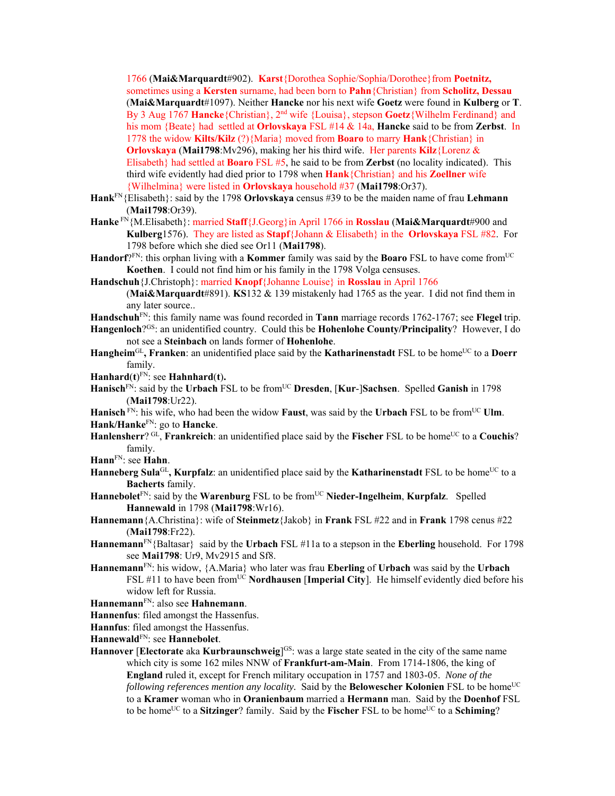1766 (**Mai&Marquardt**#902). **Karst**{Dorothea Sophie/Sophia/Dorothee}from **Poetnitz,**  sometimes using a **Kersten** surname, had been born to **Pahn**{Christian} from **Scholitz, Dessau** (**Mai&Marquardt**#1097). Neither **Hancke** nor his next wife **Goetz** were found in **Kulberg** or **T**. By 3 Aug 1767 **Hancke**{Christian}, 2nd wife {Louisa}, stepson **Goetz**{Wilhelm Ferdinand} and his mom {Beate} had settled at **Orlovskaya** FSL #14 & 14a, **Hancke** said to be from **Zerbst**. In 1778 the widow **Kilts/Kilz** (?){Maria} moved from **Boaro** to marry **Hank**{Christian} in **Orlovskaya** (**Mai1798**:Mv296), making her his third wife. Her parents **Kilz**{Lorenz & Elisabeth} had settled at **Boaro** FSL #5, he said to be from **Zerbst** (no locality indicated). This third wife evidently had died prior to 1798 when **Hank**{Christian} and his **Zoellner** wife {Wilhelmina} were listed in **Orlovskaya** household #37 (**Mai1798**:Or37).

- **Hank**FN{Elisabeth}: said by the 1798 **Orlovskaya** census #39 to be the maiden name of frau **Lehmann** (**Mai1798**:Or39).
- **Hanke** FN{M.Elisabeth}: married **Staff**{J.Georg}in April 1766 in **Rosslau** (**Mai&Marquardt**#900 and **Kulberg**1576). They are listed as **Stapf**{Johann & Elisabeth} in the **Orlovskaya** FSL #82. For 1798 before which she died see Or11 (**Mai1798**).
- **Handorf**?FN: this orphan living with a **Kommer** family was said by the **Boaro** FSL to have come fromUC **Koethen**. I could not find him or his family in the 1798 Volga censuses.

**Handschuh**{J.Christoph}: married **Knopf**{Johanne Louise} in **Rosslau** in April 1766

- (**Mai&Marquardt**#891). **KS**132 & 139 mistakenly had 1765 as the year. I did not find them in any later source..
- **Handschuh**FN: this family name was found recorded in **Tann** marriage records 1762-1767; see **Flegel** trip.
- **Hangenloch**?GS: an unidentified country. Could this be **Hohenlohe County/Principality**? However, I do not see a **Steinbach** on lands former of **Hohenlohe**.
- Hangheim<sup>GL</sup>, Franken: an unidentified place said by the **Katharinenstadt** FSL to be home<sup>UC</sup> to a Doerr family.

**Hanhard**(**t**) FN: see **Hahnhard**(**t**)**.**

**Hanisch**<sup>FN</sup>: said by the **Urbach** FSL to be from<sup>UC</sup> **Dresden**, [**Kur-**]Sachsen. Spelled Ganish in 1798 (**Mai1798**:Ur22).

**Hanisch**  $\overline{FN}$ : his wife, who had been the widow **Faust**, was said by the **Urbach** FSL to be from<sup>UC</sup> **Ulm**. **Hank/Hanke**FN: go to **Hancke**.

**Hanlensherr**? GL, **Frankreich**: an unidentified place said by the **Fischer** FSL to be home<sup>UC</sup> to a **Couchis**? family.

**Hann**FN: see **Hahn**.

- Hanneberg Sula<sup>GL</sup>, Kurpfalz: an unidentified place said by the Katharinenstadt FSL to be home<sup>UC</sup> to a **Bacherts** family.
- **Hannebolet**FN: said by the **Warenburg** FSL to be fromUC **Nieder-Ingelheim**, **Kurpfalz**. Spelled **Hannewald** in 1798 (**Mai1798**:Wr16).
- **Hannemann**{A.Christina}: wife of **Steinmetz**{Jakob} in **Frank** FSL #22 and in **Frank** 1798 cenus #22 (**Mai1798**:Fr22).
- **Hannemann**FN{Baltasar} said by the **Urbach** FSL #11a to a stepson in the **Eberling** household. For 1798 see **Mai1798**: Ur9, Mv2915 and Sf8.
- **Hannemann**FN: his widow, {A.Maria} who later was frau **Eberling** of **Urbach** was said by the **Urbach** FSL #11 to have been fromUC **Nordhausen** [**Imperial City**]. He himself evidently died before his widow left for Russia.

**Hannemann**FN: also see **Hahnemann**.

**Hannenfus**: filed amongst the Hassenfus.

**Hannfus**: filed amongst the Hassenfus.

**Hannewald**FN: see **Hannebolet**.

**Hannover** [Electorate aka Kurbraunschweig]<sup>GS</sup>: was a large state seated in the city of the same name which city is some 162 miles NNW of **Frankfurt-am-Main**. From 1714-1806, the king of **England** ruled it, except for French military occupation in 1757 and 1803-05. *None of the following references mention any locality*. Said by the **Belowescher Kolonien** FSL to be home<sup>UC</sup> to a **Kramer** woman who in **Oranienbaum** married a **Hermann** man. Said by the **Doenhof** FSL to be home<sup>UC</sup> to a **Sitzinger**? family. Said by the **Fischer** FSL to be home<sup>UC</sup> to a **Schiming**?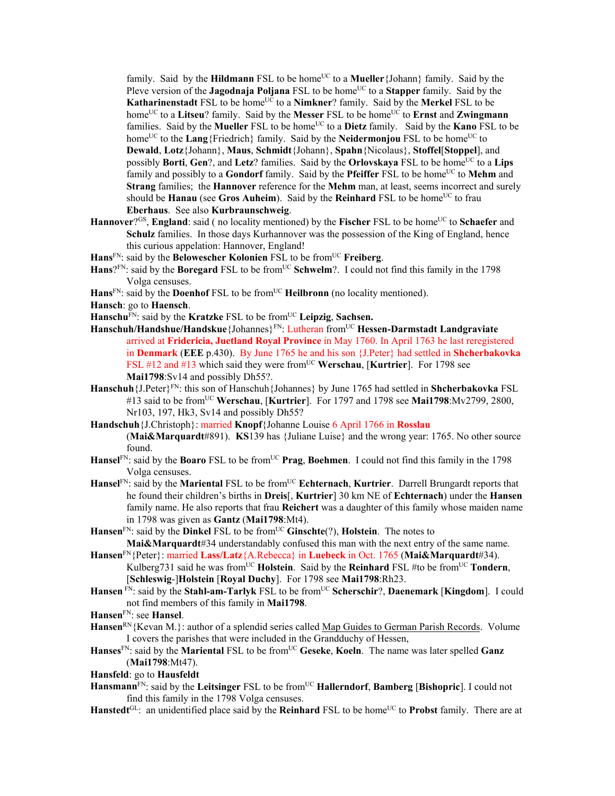family. Said by the **Hildmann** FSL to be home<sup>UC</sup> to a **Mueller** {Johann} family. Said by the Pleve version of the **Jagodnaja Poljana** FSL to be home<sup>UC</sup> to a **Stapper** family. Said by the **Katharinenstadt** FSL to be home<sup>UC</sup> to a **Nimkner**? family. Said by the **Merkel** FSL to be home<sup>UC</sup> to a **Litseu**? family. Said by the **Messer** FSL to be home<sup>UC</sup> to **Ernst** and **Zwingmann** families. Said by the **Mueller** FSL to be home<sup>UC</sup> to a **Dietz** family. Said by the **Kano** FSL to be home<sup>UC</sup> to the **Lang**{Friedrich} family. Said by the **Neidermonjou** FSL to be home<sup>UC</sup> to **Dewald**, **Lotz**{Johann}, **Maus**, **Schmidt**{Johann}, **Spahn**{Nicolaus}, **Stoffel**[**Stoppel**], and possibly **Borti**, Gen?, and Letz? families. Said by the **Orlovskaya** FSL to be home<sup>UC</sup> to a Lips family and possibly to a **Gondorf** family. Said by the **Pfeiffer** FSL to be home<sup>UC</sup> to **Mehm** and **Strang** families; the **Hannover** reference for the **Mehm** man, at least, seems incorrect and surely should be **Hanau** (see Gros Auheim). Said by the Reinhard FSL to be home<sup>UC</sup> to frau **Eberhaus**. See also **Kurbraunschweig**.

- **Hannover**?<sup>GS</sup>, **England**: said ( no locality mentioned) by the **Fischer** FSL to be home<sup>UC</sup> to **Schaefer** and **Schulz** families. In those days Kurhannover was the possession of the King of England, hence this curious appelation: Hannover, England!
- Hans<sup>FN</sup>: said by the **Belowescher Kolonien** FSL to be from<sup>UC</sup> **Freiberg**.
- **Hans**?FN: said by the **Boregard** FSL to be from<sup>UC</sup> Schwelm?. I could not find this family in the 1798 Volga censuses.
- Hans<sup>FN</sup>: said by the **Doenhof** FSL to be from<sup>UC</sup> **Heilbronn** (no locality mentioned).
- **Hansch**: go to **Haensch**.
- **Hanschu**<sup>FN</sup>: said by the **Kratzke** FSL to be from<sup>UC</sup> Leipzig, Sachsen.
- **Hanschuh/Handshue/Handskue**{Johannes}FN: Lutheran fromUC **Hessen-Darmstadt Landgraviate** arrived at **Fridericia, Juetland Royal Province** in May 1760. In April 1763 he last reregistered in **Denmark** (**EEE** p.430). By June 1765 he and his son {J.Peter} had settled in **Shcherbakovka** FSL #12 and #13 which said they were from<sup>UC</sup> Werschau, [Kurtrier]. For 1798 see **Mai1798**:Sv14 and possibly Dh55?.
- **Hanschuh**{J.Peter}FN: this son of Hanschuh{Johannes} by June 1765 had settled in **Shcherbakovka** FSL #13 said to be fromUC **Werschau**, [**Kurtrier**]. For 1797 and 1798 see **Mai1798**:Mv2799, 2800, Nr103, 197, Hk3, Sv14 and possibly Dh55?
- **Handschuh**{J.Christoph}: married **Knopf**{Johanne Louise 6 April 1766 in **Rosslau**  (**Mai&Marquardt**#891). **KS**139 has {Juliane Luise} and the wrong year: 1765. No other source found.
- **Hansel**FN: said by the **Boaro** FSL to be fromUC **Prag**, **Boehmen**. I could not find this family in the 1798 Volga censuses.
- **Hansel**<sup>FN</sup>: said by the **Mariental** FSL to be from<sup>UC</sup> **Echternach**, **Kurtrier**. Darrell Brungardt reports that he found their children's births in **Dreis**[, **Kurtrier**] 30 km NE of **Echternach**) under the **Hansen** family name. He also reports that frau **Reichert** was a daughter of this family whose maiden name in 1798 was given as **Gantz** (**Mai1798**:Mt4).
- Hansen<sup>FN</sup>: said by the Dinkel FSL to be from<sup>UC</sup> Ginschte(?), Holstein. The notes to **Mai&Marquardt**#34 understandably confused this man with the next entry of the same name.
- **Hansen**FN{Peter}: married **Lass/Latz**{A.Rebecca} in **Luebeck** in Oct. 1765 (**Mai&Marquardt**#34). Kulberg731 said he was from<sup>UC</sup> Holstein. Said by the **Reinhard** FSL #to be from<sup>UC</sup> Tondern, [**Schleswig**-]**Holstein** [**Royal Duchy**]. For 1798 see **Mai1798**:Rh23.
- **Hansen** FN: said by the **Stahl-am-Tarlyk** FSL to be fromUC **Scherschir**?, **Daenemark** [**Kingdom**]. I could not find members of this family in **Mai1798**.
- **Hansen**FN: see **Hansel**.
- Hansen<sup>RN</sup>{Kevan M.}: author of a splendid series called Map Guides to German Parish Records. Volume I covers the parishes that were included in the Grandduchy of Hessen,
- **Hanses**FN: said by the **Mariental** FSL to be fromUC **Geseke**, **Koeln**. The name was later spelled **Ganz** (**Mai1798**:Mt47).

**Hansfeld**: go to **Hausfeldt** 

- **Hansmann**<sup>FN</sup>: said by the **Leitsinger** FSL to be from<sup>UC</sup> **Hallerndorf**, **Bamberg** [Bishopric]. I could not find this family in the 1798 Volga censuses.
- Hanstedt<sup>GL</sup>: an unidentified place said by the **Reinhard** FSL to be home<sup>UC</sup> to **Probst** family. There are at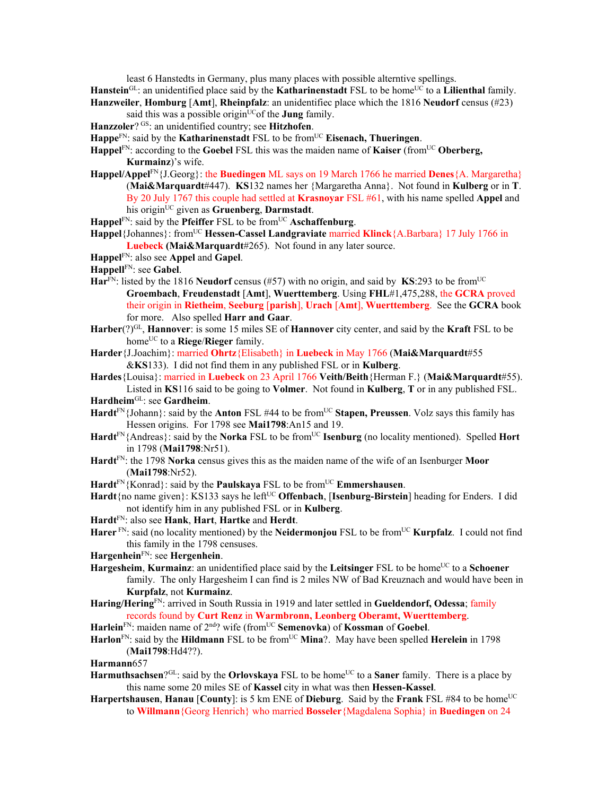least 6 Hanstedts in Germany, plus many places with possible alterntive spellings.

- **Hanstein**<sup>GL</sup>: an unidentified place said by the **Katharinenstadt** FSL to be home<sup>UC</sup> to a **Lilienthal** family. **Hanzweiler**, **Homburg** [**Amt**], **Rheinpfalz**: an unidentifiec place which the 1816 **Neudorf** census (#23)
- said this was a possible origin<sup>UC</sup> of the **Jung** family.
- **Hanzzoler**? GS: an unidentified country; see **Hitzhofen**.
- Happe<sup>FN</sup>: said by the **Katharinenstadt** FSL to be from<sup>UC</sup> **Eisenach, Thueringen**.

Happel<sup>FN</sup>: according to the **Goebel** FSL this was the maiden name of **Kaiser** (from<sup>UC</sup> **Oberberg, Kurmainz**)'s wife.

- **Happel/Appel**FN{J.Georg}: the **Buedingen** ML says on 19 March 1766 he married **Denes**{A. Margaretha} (**Mai&Marquardt**#447). **KS**132 names her {Margaretha Anna}. Not found in **Kulberg** or in **T**. By 20 July 1767 this couple had settled at **Krasnoyar** FSL #61, with his name spelled **Appel** and his originUC given as **Gruenberg**, **Darmstadt**.
- Happel<sup>FN</sup>: said by the **Pfeiffer** FSL to be from<sup>UC</sup> **Aschaffenburg**.
- Happel {Johannes}: from<sup>UC</sup> Hessen-Cassel Landgraviate married Klinck {A.Barbara} 17 July 1766 in **Luebeck (Mai&Marquardt**#265). Not found in any later source.
- **Happel**FN: also see **Appel** and **Gapel**.

**Happell**FN: see **Gabel**.

- $\textbf{Har}^{\text{FN}}$ : listed by the 1816 **Neudorf** census (#57) with no origin, and said by **KS**:293 to be from<sup>UC</sup> **Groembach**, **Freudenstadt** [**Amt**], **Wuerttemberg**. Using **FHL**#1,475,288, the **GCRA** proved their origin in **Rietheim**, **Seeburg** [**parish**], **Urach** [**Amt**], **Wuerttemberg**. See the **GCRA** book for more. Also spelled **Harr and Gaar**.
- **Harber**(?)GL, **Hannover**: is some 15 miles SE of **Hannover** city center, and said by the **Kraft** FSL to be home<sup>UC</sup> to a **Riege/Rieger** family.
- **Harder**{J.Joachim}: married **Ohrtz**{Elisabeth} in **Luebeck** in May 1766 (**Mai&Marquardt**#55 &**KS**133). I did not find them in any published FSL or in **Kulberg**.
- **Hardes**{Louisa}: married in **Luebeck** on 23 April 1766 **Veith/Beith**{Herman F.} (**Mai&Marquardt**#55). Listed in **KS**116 said to be going to **Volmer**. Not found in **Kulberg**, **T** or in any published FSL.
- **Hardheim**GL: see **Gardheim**.
- Hardt<sup>FN</sup>{Johann}: said by the **Anton** FSL #44 to be from<sup>UC</sup> Stapen, Preussen. Volz says this family has Hessen origins. For 1798 see **Mai1798**:An15 and 19.
- Hardt<sup>FN</sup>{Andreas}: said by the **Norka** FSL to be from<sup>UC</sup> **Isenburg** (no locality mentioned). Spelled **Hort** in 1798 (**Mai1798**:Nr51).
- **Hardt**FN: the 1798 **Norka** census gives this as the maiden name of the wife of an Isenburger **Moor** (**Mai1798**:Nr52).
- Hardt<sup>FN</sup>{Konrad}: said by the **Paulskaya** FSL to be from<sup>UC</sup> **Emmershausen**.
- **Hardt**{no name given}: KS133 says he left<sup>UC</sup> **Offenbach**, [Isenburg-Birstein] heading for Enders. I did not identify him in any published FSL or in **Kulberg**.
- **Hardt**FN: also see **Hank**, **Hart**, **Hartke** and **Herdt**.
- Harer<sup>FN</sup>: said (no locality mentioned) by the **Neidermonjou** FSL to be from<sup>UC</sup> **Kurpfalz**. I could not find this family in the 1798 censuses.
- **Hargenhein**FN: see **Hergenhein**.
- **Hargesheim, Kurmainz**: an unidentified place said by the **Leitsinger** FSL to be home<sup>UC</sup> to a **Schoener** family. The only Hargesheim I can find is 2 miles NW of Bad Kreuznach and would have been in **Kurpfalz**, not **Kurmainz**.
- **Haring/Hering**FN: arrived in South Russia in 1919 and later settled in **Gueldendorf, Odessa**; family records found by **Curt Renz** in **Warmbronn, Leonberg Oberamt, Wuerttemberg**.
- Harlein<sup>FN</sup>: maiden name of 2<sup>nd</sup>? wife (from<sup>UC</sup> **Semenovka**) of **Kossman** of **Goebel**.
- Harlon<sup>FN</sup>: said by the **Hildmann** FSL to be from<sup>UC</sup> Mina?. May have been spelled **Herelein** in 1798 (**Mai1798**:Hd4??).
- **Harmann**657
- **Harmuthsachsen**?<sup>GL</sup>: said by the **Orlovskaya** FSL to be home<sup>UC</sup> to a **Saner** family. There is a place by this name some 20 miles SE of **Kassel** city in what was then **Hessen-Kassel**.
- **Harpertshausen, Hanau** [County]: is 5 km ENE of **Dieburg**. Said by the Frank FSL #84 to be home<sup>UC</sup> to **Willmann**{Georg Henrich} who married **Bosseler**{Magdalena Sophia} in **Buedingen** on 24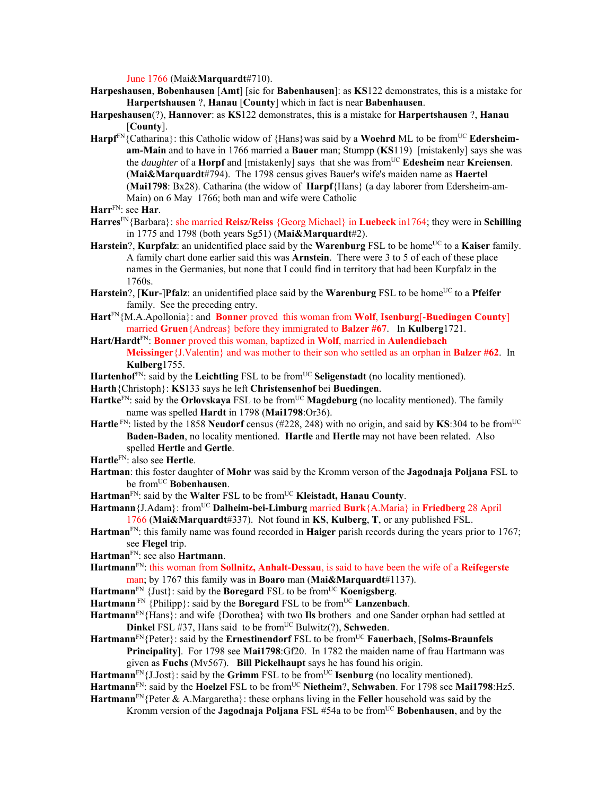June 1766 (Mai&**Marquardt**#710).

**Harpeshausen**, **Bobenhausen** [**Amt**] [sic for **Babenhausen**]: as **KS**122 demonstrates, this is a mistake for **Harpertshausen** ?, **Hanau** [**County**] which in fact is near **Babenhausen**.

**Harpeshausen**(?), **Hannover**: as **KS**122 demonstrates, this is a mistake for **Harpertshausen** ?, **Hanau** [**County**].

**Harpf**FN{Catharina}: this Catholic widow of {Hans}was said by a **Woehrd** ML to be fromUC **Edersheimam-Main** and to have in 1766 married a **Bauer** man; Stumpp (**KS**119) [mistakenly] says she was the *daughter* of a **Horpf** and [mistakenly] says that she was fromUC **Edesheim** near **Kreiensen**. (**Mai&Marquardt**#794). The 1798 census gives Bauer's wife's maiden name as **Haertel**  (**Mai1798**: Bx28). Catharina (the widow of **Harpf**{Hans} (a day laborer from Edersheim-am-Main) on 6 May 1766; both man and wife were Catholic

- **Harres**FN{Barbara}: she married **Reisz/Reiss** {Georg Michael} in **Luebeck** in1764; they were in **Schilling** in 1775 and 1798 (both years Sg51) (**Mai&Marquardt**#2).
- **Harstein**?, **Kurpfalz**: an unidentified place said by the **Warenburg** FSL to be home<sup>UC</sup> to a **Kaiser** family. A family chart done earlier said this was **Arnstein**. There were 3 to 5 of each of these place names in the Germanies, but none that I could find in territory that had been Kurpfalz in the 1760s.
- **Harstein**?, [**Kur-**]Pfalz: an unidentified place said by the **Warenburg** FSL to be home<sup>UC</sup> to a Pfeifer family. See the preceding entry.
- **Hart**FN{M.A.Apollonia}: and **Bonner** proved this woman from **Wolf**, **Isenburg**[-**Buedingen County**] married **Gruen**{Andreas} before they immigrated to **Balzer #67**. In **Kulberg**1721.
- **Hart/Hardt**FN: **Bonner** proved this woman, baptized in **Wolf**, married in **Aulendiebach Meissinger**{J.Valentin} and was mother to their son who settled as an orphan in **Balzer #62**. In **Kulberg**1755.
- Hartenhof<sup>FN</sup>: said by the **Leichtling** FSL to be from<sup>UC</sup> Seligenstadt (no locality mentioned).
- **Harth**{Christoph}: **KS**133 says he left **Christensenhof** bei **Buedingen**.
- **Hartke**<sup>FN</sup>: said by the **Orlovskaya** FSL to be from<sup>UC</sup> **Magdeburg** (no locality mentioned). The family name was spelled **Hardt** in 1798 (**Mai1798**:Or36).
- **Hartle** FN: listed by the 1858 **Neudorf** census (#228, 248) with no origin, and said by **KS**:304 to be fromUC **Baden-Baden**, no locality mentioned. **Hartle** and **Hertle** may not have been related. Also spelled **Hertle** and **Gertle**.
- **Hartle**FN: also see **Hertle**.
- **Hartman**: this foster daughter of **Mohr** was said by the Kromm verson of the **Jagodnaja Poljana** FSL to be fromUC **Bobenhausen**.
- Hartman<sup>FN</sup>: said by the Walter FSL to be from<sup>UC</sup> Kleistadt, Hanau County.

**Hartmann**{J.Adam}: fromUC **Dalheim-bei-Limburg** married **Burk**{A.Maria} in **Friedberg** 28 April 1766 (**Mai&Marquardt**#337). Not found in **KS**, **Kulberg**, **T**, or any published FSL.

- **Hartman**FN: this family name was found recorded in **Haiger** parish records during the years prior to 1767; see **Flegel** trip.
- **Hartman**FN: see also **Hartmann**.
- **Hartmann**FN: this woman from **Sollnitz, Anhalt-Dessau**, is said to have been the wife of a **Reifegerste** man; by 1767 this family was in **Boaro** man (**Mai&Marquardt**#1137).
- **Hartmann**<sup>FN</sup> {Just}: said by the **Boregard** FSL to be from<sup>UC</sup> **Koenigsberg**.
- Hartmann<sup>FN</sup> {Philipp}: said by the **Boregard** FSL to be from<sup>UC</sup> **Lanzenbach**.

**Hartmann**FN{Hans}: and wife {Dorothea} with two **Ils** brothers and one Sander orphan had settled at **Dinkel** FSL #37, Hans said to be from<sup>UC</sup> Bulwitz(?), **Schweden**.

Hartmann<sup>FN</sup>{Peter}: said by the **Ernestinendorf** FSL to be from<sup>UC</sup> **Fauerbach**, [**Solms-Braunfels Principality**]. For 1798 see **Mai1798**:Gf20. In 1782 the maiden name of frau Hartmann was given as **Fuchs** (Mv567). **Bill Pickelhaupt** says he has found his origin.

Hartmann<sup>FN</sup>{J.Jost}: said by the **Grimm** FSL to be from<sup>UC</sup> **Isenburg** (no locality mentioned).

**Hartmann**FN: said by the **Hoelzel** FSL to be fromUC **Nietheim**?, **Schwaben**. For 1798 see **Mai1798**:Hz5.

**Hartmann**FN{Peter & A.Margaretha}: these orphans living in the **Feller** household was said by the Kromm version of the **Jagodnaja Poljana** FSL #54a to be fromUC **Bobenhausen**, and by the

**Harr**FN: see **Har**.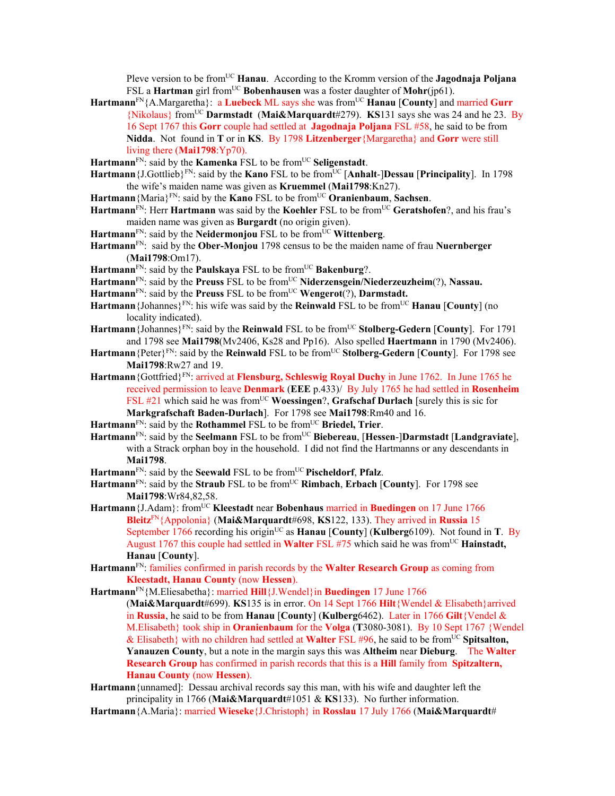Pleve version to be from<sup>UC</sup> **Hanau**. According to the Kromm version of the **Jagodnaja Poljana** FSL a **Hartman** girl from<sup>UC</sup> Bobenhausen was a foster daughter of Mohr(jp61).

- Hartmann<sup>FN</sup>{A.Margaretha}: a Luebeck ML says she was from<sup>UC</sup> Hanau [County] and married Gurr {Nikolaus} fromUC **Darmstadt** (**Mai&Marquardt**#279). **KS**131 says she was 24 and he 23. By 16 Sept 1767 this **Gorr** couple had settled at **Jagodnaja Poljana** FSL #58, he said to be from **Nidda**. Not found in **T** or in **KS**. By 1798 **Litzenberger**{Margaretha} and **Gorr** were still living there (**Mai1798**:Yp70).
- Hartmann<sup>FN</sup>: said by the **Kamenka** FSL to be from<sup>UC</sup> Seligenstadt.
- **Hartmann** {J.Gottlieb}<sup>FN</sup>: said by the **Kano** FSL to be from<sup>UC</sup> [Anhalt-]Dessau [Principality]. In 1798 the wife's maiden name was given as **Kruemmel** (**Mai1798**:Kn27).
- **Hartmann**{Maria}FN: said by the **Kano** FSL to be fromUC **Oranienbaum**, **Sachsen**.
- **Hartmann**FN: Herr **Hartmann** was said by the **Koehler** FSL to be fromUC **Geratshofen**?, and his frau's maiden name was given as **Burgardt** (no origin given).
- Hartmann<sup>FN</sup>: said by the **Neidermonjou** FSL to be from<sup>UC</sup> Wittenberg.
- **Hartmann**FN: said by the **Ober-Monjou** 1798 census to be the maiden name of frau **Nuernberger** (**Mai1798**:Om17).
- Hartmann<sup>FN</sup>: said by the **Paulskaya** FSL to be from<sup>UC</sup> Bakenburg?.
- Hartmann<sup>FN</sup>: said by the **Preuss** FSL to be from<sup>UC</sup> **Niderzensgein/Niederzeuzheim**(?), **Nassau.**
- Hartmann<sup>FN</sup>: said by the **Preuss** FSL to be from<sup>UC</sup> **Wengerot**(?), **Darmstadt.**
- **Hartmann** {Johannes}<sup>FN</sup>: his wife was said by the **Reinwald** FSL to be from<sup>UC</sup> **Hanau** [**County**] (no locality indicated).
- Hartmann {Johannes}<sup>FN</sup>: said by the **Reinwald** FSL to be from<sup>UC</sup> Stolberg-Gedern [County]. For 1791 and 1798 see **Mai1798**(Mv2406, Ks28 and Pp16). Also spelled **Haertmann** in 1790 (Mv2406).
- **Hartmann**{Peter}FN: said by the **Reinwald** FSL to be fromUC **Stolberg-Gedern** [**County**]. For 1798 see **Mai1798**:Rw27 and 19.
- **Hartmann**{Gottfried}FN: arrived at **Flensburg, Schleswig Royal Duchy** in June 1762. In June 1765 he received permission to leave **Denmark** (**EEE** p.433)/ By July 1765 he had settled in **Rosenheim** FSL #21 which said he was from<sup>UC</sup> Woessingen?, Grafschaf Durlach [surely this is sic for **Markgrafschaft Baden-Durlach**]. For 1798 see **Mai1798**:Rm40 and 16.
- Hartmann<sup>FN</sup>: said by the **Rothammel** FSL to be from<sup>UC</sup> Briedel, Trier.
- Hartmann<sup>FN</sup>: said by the **Seelmann** FSL to be from<sup>UC</sup> Biebereau, [Hessen-]Darmstadt [Landgraviate], with a Strack orphan boy in the household. I did not find the Hartmanns or any descendants in **Mai1798**.
- Hartmann<sup>FN</sup>: said by the **Seewald** FSL to be from<sup>UC</sup> Pischeldorf, Pfalz.
- **Hartmann**FN: said by the **Straub** FSL to be fromUC **Rimbach**, **Erbach** [**County**]. For 1798 see **Mai1798**:Wr84,82,58.
- **Hartmann** {J.Adam}: from<sup>UC</sup> **Kleestadt** near **Bobenhaus** married in **Buedingen** on 17 June 1766 **Bleitz**FN{Appolonia} (**Mai&Marquardt**#698, **KS**122, 133). They arrived in **Russia** 15 September 1766 recording his origin<sup>UC</sup> as **Hanau** [County] (Kulberg6109). Not found in **T**. By August 1767 this couple had settled in **Walter** FSL #75 which said he was from<sup>UC</sup> **Hainstadt**, **Hanau** [**County**].
- **Hartmann**FN: families confirmed in parish records by the **Walter Research Group** as coming from **Kleestadt, Hanau County** (now **Hessen**).
- **Hartmann**FN{M.Eliesabetha}: married **Hill**{J.Wendel}in **Buedingen** 17 June 1766 (**Mai&Marquardt**#699). **KS**135 is in error. On 14 Sept 1766 **Hilt**{Wendel & Elisabeth}arrived in **Russia**, he said to be from **Hanau** [**County**] (**Kulberg**6462). Later in 1766 **Gilt**{Vendel & M.Elisabeth} took ship in **Oranienbaum** for the **Volga** (**T**3080-3081). By 10 Sept 1767 {Wendel & Elisabeth} with no children had settled at **Walter** FSL #96, he said to be fromUC **Spitsalton, Yanauzen County**, but a note in the margin says this was **Altheim** near **Dieburg**. The **Walter Research Group** has confirmed in parish records that this is a **Hill** family from **Spitzaltern, Hanau County** (now **Hessen**).
- **Hartmann**{unnamed]: Dessau archival records say this man, with his wife and daughter left the principality in 1766 (**Mai&Marquardt**#1051 & **KS**133). No further information.
- **Hartmann**{A.Maria}: married **Wieseke**{J.Christoph} in **Rosslau** 17 July 1766 (**Mai&Marquardt**#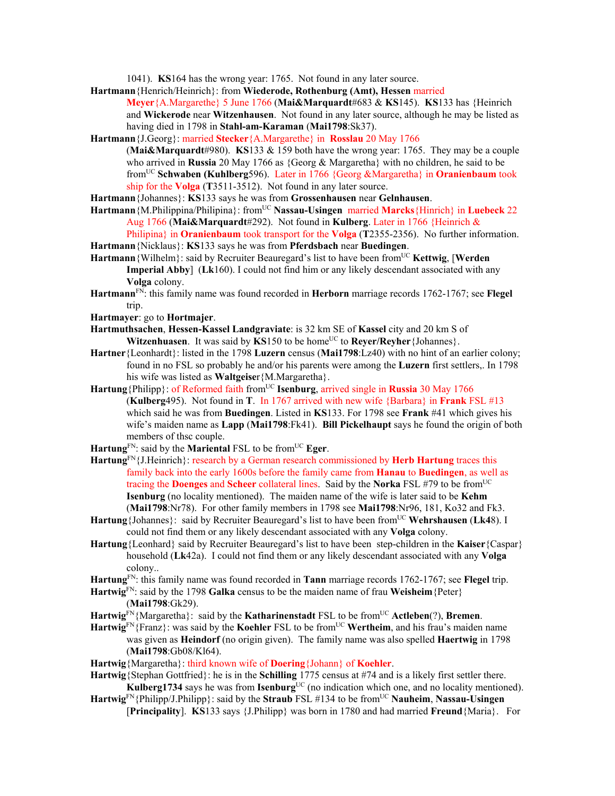1041). **KS**164 has the wrong year: 1765. Not found in any later source.

- **Hartmann**{Henrich/Heinrich}: from **Wiederode, Rothenburg (Amt), Hessen** married **Meyer**{A.Margarethe} 5 June 1766 (**Mai&Marquardt**#683 & **KS**145). **KS**133 has {Heinrich and **Wickerode** near **Witzenhausen**. Not found in any later source, although he may be listed as having died in 1798 in **Stahl-am-Karaman** (**Mai1798**:Sk37).
- **Hartmann**{J.Georg}: married **Stecker**{A.Margarethe} in **Rosslau** 20 May 1766
	- (**Mai&Marquardt**#980). **KS**133 & 159 both have the wrong year: 1765. They may be a couple who arrived in **Russia** 20 May 1766 as {Georg & Margaretha} with no children, he said to be fromUC **Schwaben (Kuhlberg**596). Later in 1766 {Georg &Margaretha} in **Oranienbaum** took ship for the **Volga** (**T**3511-3512). Not found in any later source.
- **Hartmann**{Johannes}: **KS**133 says he was from **Grossenhausen** near **Gelnhausen**.
- **Hartmann**{M.Philippina/Philipina}: fromUC **Nassau-Usingen** married **Marcks**{Hinrich} in **Luebeck** 22 Aug 1766 (**Mai&Marquardt**#292). Not found in **Kulberg**. Later in 1766 {Heinrich & Philipina} in **Oranienbaum** took transport for the **Volga** (**T**2355-2356). No further information.
- **Hartmann**{Nicklaus}: **KS**133 says he was from **Pferdsbach** near **Buedingen**.
- **Hartmann** {Wilhelm}: said by Recruiter Beauregard's list to have been from<sup>UC</sup> **Kettwig**, **[Werden Imperial Abby**] (**Lk**160). I could not find him or any likely descendant associated with any **Volga** colony.
- **Hartmann**FN: this family name was found recorded in **Herborn** marriage records 1762-1767; see **Flegel** trip.
- **Hartmayer**: go to **Hortmajer**.
- **Hartmuthsachen**, **Hessen-Kassel Landgraviate**: is 32 km SE of **Kassel** city and 20 km S of **Witzenhuasen**. It was said by **KS**150 to be home<sup>UC</sup> to **Reyer/Reyher** {Johannes}.
- **Hartner**{Leonhardt}: listed in the 1798 **Luzern** census (**Mai1798**:Lz40) with no hint of an earlier colony; found in no FSL so probably he and/or his parents were among the **Luzern** first settlers,. In 1798 his wife was listed as **Waltgeise**r{M.Margaretha}.
- Hartung {Philipp}: of Reformed faith from<sup>UC</sup> **Isenburg**, arrived single in **Russia** 30 May 1766 (**Kulberg**495). Not found in **T**. In 1767 arrived with new wife {Barbara} in **Frank** FSL #13 which said he was from **Buedingen**. Listed in **KS**133. For 1798 see **Frank** #41 which gives his wife's maiden name as **Lapp** (**Mai1798**:Fk41). **Bill Pickelhaupt** says he found the origin of both members of thsc couple.
- Hartung<sup>FN</sup>: said by the **Mariental** FSL to be from<sup>UC</sup> **Eger**.
- **Hartung**FN{J.Heinrich}: research by a German research commissioned by **Herb Hartung** traces this family back into the early 1600s before the family came from **Hanau** to **Buedingen**, as well as tracing the **Doenges** and **Scheer** collateral lines. Said by the **Norka** FSL #79 to be from<sup>UC</sup> **Isenburg** (no locality mentioned). The maiden name of the wife is later said to be **Kehm** (**Mai1798**:Nr78). For other family members in 1798 see **Mai1798**:Nr96, 181, Ko32 and Fk3.
- **Hartung**{Johannes}: said by Recruiter Beauregard's list to have been from<sup>UC</sup> Wehrshausen (Lk48). I could not find them or any likely descendant associated with any **Volga** colony.
- **Hartung**{Leonhard} said by Recruiter Beauregard's list to have been step-children in the **Kaiser**{Caspar} household (**Lk**42a). I could not find them or any likely descendant associated with any **Volga** colony..
- **Hartung**FN: this family name was found recorded in **Tann** marriage records 1762-1767; see **Flegel** trip.
- **Hartwig**FN: said by the 1798 **Galka** census to be the maiden name of frau **Weisheim**{Peter} (**Mai1798**:Gk29).
- **Hartwig**FN{Margaretha}: said by the **Katharinenstadt** FSL to be fromUC **Actleben**(?), **Bremen**.
- Hartwig<sup>FN</sup>{Franz}: was said by the **Koehler** FSL to be from<sup>UC</sup> Wertheim, and his frau's maiden name was given as **Heindorf** (no origin given). The family name was also spelled **Haertwig** in 1798 (**Mai1798**:Gb08/Kl64).
- **Hartwig**{Margaretha}: third known wife of **Doering**{Johann} of **Koehler**.
- **Hartwig**{Stephan Gottfried}: he is in the **Schilling** 1775 census at #74 and is a likely first settler there. **Kulberg1734** says he was from **Isenburg**<sup>UC</sup> (no indication which one, and no locality mentioned).
- **Hartwig**FN{Philipp/J.Philipp}: said by the **Straub** FSL #134 to be fromUC **Nauheim**, **Nassau-Usingen** [**Principality**]. **KS**133 says {J.Philipp} was born in 1780 and had married **Freund**{Maria}. For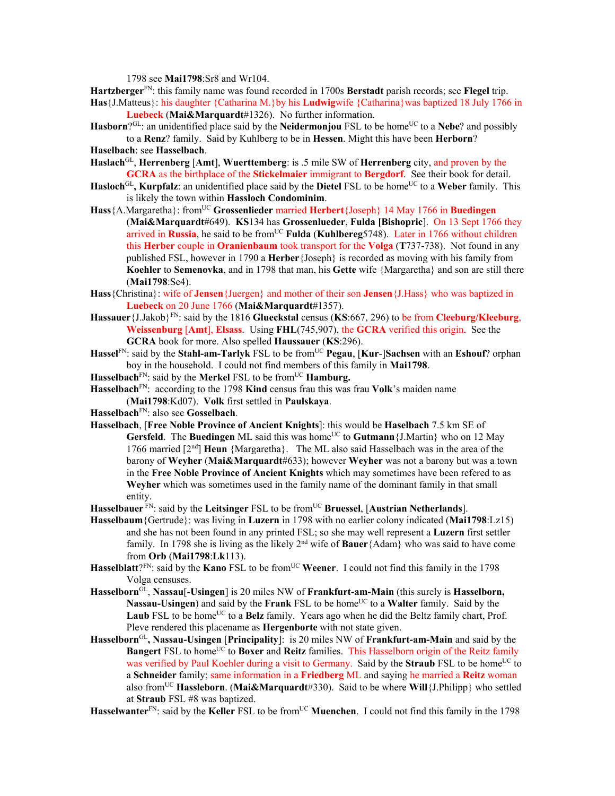1798 see **Mai1798**:Sr8 and Wr104.

**Hartzberger**FN: this family name was found recorded in 1700s **Berstadt** parish records; see **Flegel** trip. **Has**{J.Matteus}: his daughter {Catharina M.}by his **Ludwig**wife {Catharina}was baptized 18 July 1766 in

**Luebeck** (**Mai&Marquardt**#1326). No further information.

**Hasborn**? $GL:$  an unidentified place said by the **Neidermonjou** FSL to be home<sup>UC</sup> to a **Nebe**? and possibly to a **Renz**? family. Said by Kuhlberg to be in **Hessen**. Might this have been **Herborn**?

**Haselbach**: see **Hasselbach**.

**Haslach**GL, **Herrenberg** [**Amt**], **Wuerttemberg**: is .5 mile SW of **Herrenberg** city, and proven by the **GCRA** as the birthplace of the **Stickelmaier** immigrant to **Bergdorf**. See their book for detail.

- **Hasloch**<sup>GL</sup>, **Kurpfalz**: an unidentified place said by the **Dietel** FSL to be home<sup>UC</sup> to a Weber family. This is likely the town within **Hassloch Condominim**.
- **Hass**{A.Margaretha}: fromUC **Grossenlieder** married **Herbert**{Joseph} 14 May 1766 in **Buedingen**  (**Mai&Marquardt**#649). **KS**134 has **Grossenlueder**, **Fulda [Bishopric**]. On 13 Sept 1766 they arrived in Russia, he said to be from<sup>UC</sup> Fulda (Kuhlbereg5748). Later in 1766 without children this **Herber** couple in **Oranienbaum** took transport for the **Volga** (**T**737-738). Not found in any published FSL, however in 1790 a **Herber**{Joseph} is recorded as moving with his family from **Koehler** to **Semenovka**, and in 1798 that man, his **Gette** wife {Margaretha} and son are still there (**Mai1798**:Se4).
- **Hass**{Christina}: wife of **Jensen**{Juergen} and mother of their son **Jensen**{J.Hass} who was baptized in **Luebeck** on 20 June 1766 (**Mai&Marquardt**#1357).
- **Hassauer**{J.Jakob}FN: said by the 1816 **Glueckstal** census (**KS**:667, 296) to be from **Cleeburg/Kleeburg**, **Weissenburg** [**Amt**], **Elsass**. Using **FHL**(745,907), the **GCRA** verified this origin. See the **GCRA** book for more. Also spelled **Haussauer** (**KS**:296).
- Hassel<sup>FN</sup>: said by the Stahl-am-Tarlyk FSL to be from<sup>UC</sup> Pegau, [Kur-]Sachsen with an Eshouf? orphan boy in the household. I could not find members of this family in **Mai1798**.
- **Hasselbach**<sup>FN</sup>: said by the **Merkel** FSL to be from<sup>UC</sup> **Hamburg.**
- **Hasselbach**FN: according to the 1798 **Kind** census frau this was frau **Volk**'s maiden name (**Mai1798**:Kd07). **Volk** first settled in **Paulskaya**.
- **Hasselbach**FN: also see **Gosselbach**.
- **Hasselbach**, [**Free Noble Province of Ancient Knights**]: this would be **Haselbach** 7.5 km SE of **Gersfeld**. The **Buedingen** ML said this was home<sup>UC</sup> to **Gutmann** {J.Martin} who on 12 May 1766 married [2nd] **Heun** {Margaretha}. The ML also said Hasselbach was in the area of the barony of **Weyher** (**Mai&Marquardt**#633); however **Weyher** was not a barony but was a town in the **Free Noble Province of Ancient Knights** which may sometimes have been refered to as **Weyher** which was sometimes used in the family name of the dominant family in that small entity.
- Hasselbauer<sup> FN</sup>: said by the Leitsinger FSL to be from<sup>UC</sup> Bruessel, [Austrian Netherlands].
- **Hasselbaum**{Gertrude}: was living in **Luzern** in 1798 with no earlier colony indicated (**Mai1798**:Lz15) and she has not been found in any printed FSL; so she may well represent a **Luzern** first settler family. In 1798 she is living as the likely 2nd wife of **Bauer**{Adam} who was said to have come from **Orb** (**Mai1798**:**Lk**113).
- Hasselblatt?<sup>FN</sup>: said by the **Kano** FSL to be from<sup>UC</sup> Weener. I could not find this family in the 1798 Volga censuses.
- **Hasselborn**GL, **Nassau**[-**Usingen**] is 20 miles NW of **Frankfurt-am-Main** (this surely is **Hasselborn, Nassau-Usingen**) and said by the **Frank** FSL to be home<sup>UC</sup> to a **Walter** family. Said by the Laub FSL to be home<sup>UC</sup> to a **Belz** family. Years ago when he did the Beltz family chart, Prof. Pleve rendered this placename as **Hergenborte** with not state given.
- **Hasselborn**GL**, Nassau-Usingen** [**Principality**]: is 20 miles NW of **Frankfurt-am-Main** and said by the **Bangert** FSL to home<sup>UC</sup> to **Boxer** and **Reitz** families. This Hasselborn origin of the Reitz family was verified by Paul Koehler during a visit to Germany. Said by the **Straub** FSL to be home<sup>UC</sup> to a **Schneider** family; same information in a **Friedberg** ML and saying he married a **Reitz** woman also fromUC **Hassleborn**. (**Mai&Marquardt**#330). Said to be where **Will**{J.Philipp} who settled at **Straub** FSL #8 was baptized.

Hasselwanter<sup>FN</sup>: said by the Keller FSL to be from<sup>UC</sup> Muenchen. I could not find this family in the 1798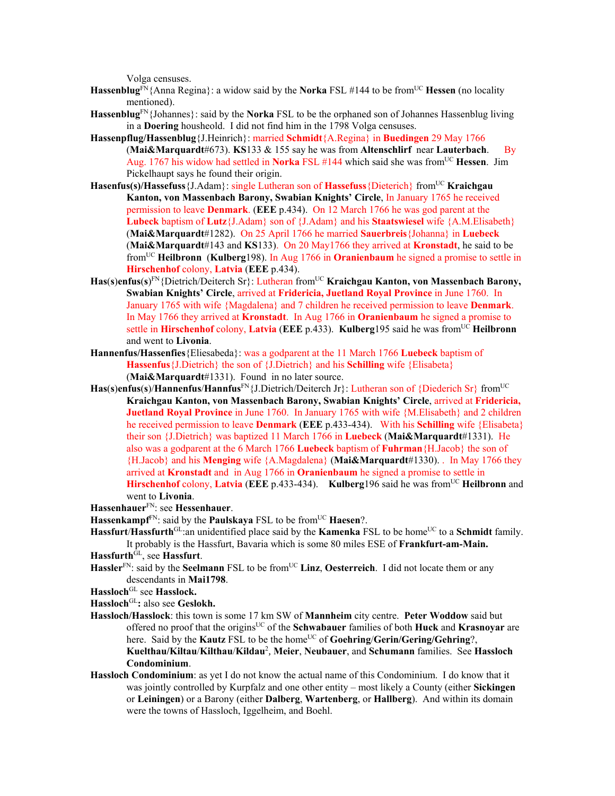Volga censuses.

- **Hassenblug**<sup>FN</sup>{Anna Regina}: a widow said by the **Norka** FSL #144 to be from<sup>UC</sup> **Hessen** (no locality mentioned).
- **Hassenblug**FN{Johannes}: said by the **Norka** FSL to be the orphaned son of Johannes Hassenblug living in a **Doering** housheold. I did not find him in the 1798 Volga censuses.
- **Hassenpflug/Hassenblug**{J.Heinrich}: married **Schmidt**{A.Regina} in **Buedingen** 29 May 1766 (**Mai&Marquardt**#673). **KS**133 & 155 say he was from **Altenschlirf** near **Lauterbach**.By Aug. 1767 his widow had settled in **Norka** FSL #144 which said she was from<sup>UC</sup> **Hessen**. Jim Pickelhaupt says he found their origin.
- Hasenfus(s)/Hassefuss<sup>{J</sup>.Adam}: single Lutheran son of Hassefuss{Dieterich} from<sup>UC</sup> **Kraichgau Kanton, von Massenbach Barony, Swabian Knights' Circle**, In January 1765 he received permission to leave **Denmark**. (**EEE** p.434). On 12 March 1766 he was god parent at the **Lubeck** baptism of **Lutz**{J.Adam} son of {J.Adam} and his **Staatswiesel** wife {A.M.Elisabeth} (**Mai&Marquardt**#1282). On 25 April 1766 he married **Sauerbreis**{Johanna} in **Luebeck** (**Mai&Marquardt**#143 and **KS**133). On 20 May1766 they arrived at **Kronstadt**, he said to be fromUC **Heilbronn** (**Kulberg**198). In Aug 1766 in **Oranienbaum** he signed a promise to settle in **Hirschenhof** colony, **Latvia** (**EEE** p.434).
- Has(s)enfus(s)<sup>FN</sup>{Dietrich/Deiterch Sr}: Lutheran from<sup>UC</sup> **Kraichgau Kanton, von Massenbach Barony, Swabian Knights' Circle**, arrived at **Fridericia, Juetland Royal Province** in June 1760. In January 1765 with wife {Magdalena} and 7 children he received permission to leave **Denmark**. In May 1766 they arrived at **Kronstadt**. In Aug 1766 in **Oranienbaum** he signed a promise to settle in **Hirschenhof** colony, **Latvia** (**EEE** p.433). **Kulberg**195 said he was fromUC **Heilbronn** and went to **Livonia**.
- **Hannenfus/Hassenfies**{Eliesabeda}: was a godparent at the 11 March 1766 **Luebeck** baptism of **Hassenfus**{J.Dietrich} the son of {J.Dietrich} and his **Schilling** wife {Elisabeta} (**Mai&Marquardt**#1331). Found in no later source.
- **Has**(**s**)**enfus**(**s**)/**Hannenfus**/**Hannfus**FN{J.Dietrich/Deiterch Jr}: Lutheran son of {Diederich Sr} fromUC **Kraichgau Kanton, von Massenbach Barony, Swabian Knights' Circle**, arrived at **Fridericia, Juetland Royal Province** in June 1760. In January 1765 with wife {M.Elisabeth} and 2 children he received permission to leave **Denmark** (**EEE** p.433-434). With his **Schilling** wife {Elisabeta} their son {J.Dietrich} was baptized 11 March 1766 in **Luebeck** (**Mai&Marquardt**#1331). He also was a godparent at the 6 March 1766 **Luebeck** baptism of **Fuhrman**{H.Jacob} the son of {H.Jacob} and his **Menging** wife {A.Magdalena} (**Mai&Marquardt**#1330). . In May 1766 they arrived at **Kronstadt** and in Aug 1766 in **Oranienbaum** he signed a promise to settle in **Hirschenhof** colony, **Latvia** (**EEE** p.433-434). **Kulberg**196 said he was fromUC **Heilbronn** and went to **Livonia**.
- **Hassenhauer**FN: see **Hessenhauer**.
- **Hassenkampf**<sup>FN</sup>: said by the **Paulskaya** FSL to be from<sup>UC</sup> **Haesen**?.
- **Hassfurt/Hassfurth**<sup>GL</sup>:an unidentified place said by the **Kamenka** FSL to be home<sup>UC</sup> to a **Schmidt** family. It probably is the Hassfurt, Bavaria which is some 80 miles ESE of **Frankfurt-am-Main.**
- **Hassfurth**GL, see **Hassfurt**.
- Hassler<sup>FN</sup>: said by the **Seelmann** FSL to be from<sup>UC</sup> Linz, Oesterreich. I did not locate them or any descendants in **Mai1798**.
- **Hassloch**GL see **Hasslock.**

**Hassloch**GL**:** also see **Geslokh.** 

- **Hassloch/Hasslock**: this town is some 17 km SW of **Mannheim** city centre. **Peter Woddow** said but offered no proof that the originsUC of the **Schwabauer** families of both **Huck** and **Krasnoyar** are here. Said by the **Kautz** FSL to be the home<sup>UC</sup> of **Goehring/Gerin/Gering/Gehring**?, **Kuelthau/Kiltau**/**Kilthau**/**Kildau**<sup>2</sup> *,* **Meier**, **Neubauer**, and **Schumann** families. See **Hassloch Condominium**.
- **Hassloch Condominium**: as yet I do not know the actual name of this Condominium. I do know that it was jointly controlled by Kurpfalz and one other entity – most likely a County (either **Sickingen** or **Leiningen**) or a Barony (either **Dalberg**, **Wartenberg**, or **Hallberg**). And within its domain were the towns of Hassloch, Iggelheim, and Boehl.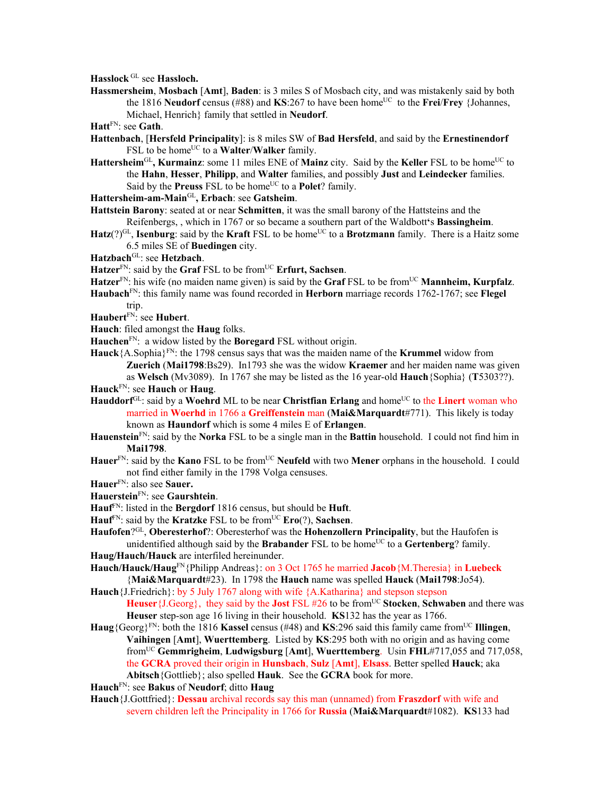**Hasslock** GL see **Hassloch.** 

**Hassmersheim**, **Mosbach** [**Amt**], **Baden**: is 3 miles S of Mosbach city, and was mistakenly said by both the 1816 **Neudorf** census (#88) and **KS**:267 to have been home<sup>UC</sup> to the **Frei**/**Frey** {Johannes, Michael, Henrich} family that settled in **Neudorf**.

**Hatt**FN: see **Gath**.

- **Hattenbach**, [**Hersfeld Principality**]: is 8 miles SW of **Bad Hersfeld**, and said by the **Ernestinendorf** FSL to be home<sup>UC</sup> to a **Walter/Walker** family.
- Hattersheim<sup>GL</sup>, Kurmainz: some 11 miles ENE of Mainz city. Said by the Keller FSL to be home<sup>UC</sup> to the **Hahn**, **Hesser**, **Philipp**, and **Walter** families, and possibly **Just** and **Leindecker** families. Said by the **Preuss** FSL to be home<sup>UC</sup> to a **Polet**? family.
- **Hattersheim-am-Main**GL**, Erbach**: see **Gatsheim**.
- **Hattstein Barony**: seated at or near **Schmitten**, it was the small barony of the Hattsteins and the Reifenbergs, , which in 1767 or so became a southern part of the Waldbott**'**s **Bassingheim**.
- $\textbf{Hatz}(?)^{GL}$ , **Isenburg**: said by the **Kraft** FSL to be home<sup>UC</sup> to a **Brotzmann** family. There is a Haitz some 6.5 miles SE of **Buedingen** city.
- **Hatzbach**GL: see **Hetzbach**.
- Hatzer<sup>FN</sup>: said by the **Graf** FSL to be from<sup>UC</sup> **Erfurt, Sachsen**.
- Hatzer<sup>FN</sup>: his wife (no maiden name given) is said by the **Graf** FSL to be from<sup>UC</sup> **Mannheim, Kurpfalz**.
- **Haubach**FN: this family name was found recorded in **Herborn** marriage records 1762-1767; see **Flegel** trip.
- **Haubert**FN: see **Hubert**.
- **Hauch**: filed amongst the **Haug** folks.
- **Hauchen**FN: a widow listed by the **Boregard** FSL without origin.
- **Hauck** ${A \cdot S}$ ophia ${P}^N$ : the 1798 census says that was the maiden name of the **Krummel** widow from **Zuerich** (**Mai1798**:Bs29). In1793 she was the widow **Kraemer** and her maiden name was given as **Welsch** (Mv3089). In 1767 she may be listed as the 16 year-old **Hauch**{Sophia} (**T**5303??). **Hauck**FN: see **Hauch** or **Haug**.
- Hauddorf<sup>GL</sup>: said by a Woehrd ML to be near **Christfian Erlang** and home<sup>UC</sup> to the **Linert** woman who married in **Woerhd** in 1766 a **Greiffenstein** man (**Mai&Marquardt**#771). This likely is today known as **Haundorf** which is some 4 miles E of **Erlangen**.
- **Hauenstein**FN: said by the **Norka** FSL to be a single man in the **Battin** household. I could not find him in **Mai1798**.
- Hauer<sup>FN</sup>: said by the **Kano** FSL to be from<sup>UC</sup> **Neufeld** with two **Mener** orphans in the household. I could not find either family in the 1798 Volga censuses.
- **Hauer**FN: also see **Sauer.**
- **Hauerstein**FN: see **Gaurshtein**.
- **Hauf**FN: listed in the **Bergdorf** 1816 census, but should be **Huft**.
- **Hauf**FN: said by the **Kratzke** FSL to be fromUC **Ero**(?), **Sachsen**.
- **Haufofen**?GL, **Oberesterhof**?: Oberesterhof was the **Hohenzollern Principality**, but the Haufofen is unidentified although said by the **Brabander** FSL to be home<sup>UC</sup> to a **Gertenberg**? family. **Haug/Hauch/Hauck** are interfiled hereinunder.
- **Hauch/Hauck/Haug**FN{Philipp Andreas}: on 3 Oct 1765 he married **Jacob**{M.Theresia} in **Luebeck** {**Mai&Marquardt**#23). In 1798 the **Hauch** name was spelled **Hauck** (**Mai1798**:Jo54).
- **Hauch**{J.Friedrich}: by 5 July 1767 along with wife {A.Katharina} and stepson stepson **Heuser**{J.Georg}, they said by the **Jost** FSL #26 to be fromUC **Stocken**, **Schwaben** and there was **Heuser** step-son age 16 living in their household. **KS**132 has the year as 1766.
- **Haug**{Georg}<sup>FN</sup>: both the 1816 **Kassel** census (#48) and **KS**:296 said this family came from<sup>UC</sup> Illingen, **Vaihingen** [**Amt**], **Wuerttemberg**. Listed by **KS**:295 both with no origin and as having come fromUC **Gemmrigheim**, **Ludwigsburg** [**Amt**], **Wuerttemberg**. Usin **FHL**#717,055 and 717,058, the **GCRA** proved their origin in **Hunsbach**, **Sulz** [**Amt**], **Elsass**. Better spelled **Hauck**; aka **Abitsch**{Gottlieb}; also spelled **Hauk**. See the **GCRA** book for more.
- **Hauch**FN: see **Bakus** of **Neudorf**; ditto **Haug**
- **Hauch**{J.Gottfried}: **Dessau** archival records say this man (unnamed) from **Fraszdorf** with wife and severn children left the Principality in 1766 for **Russia** (**Mai&Marquardt**#1082). **KS**133 had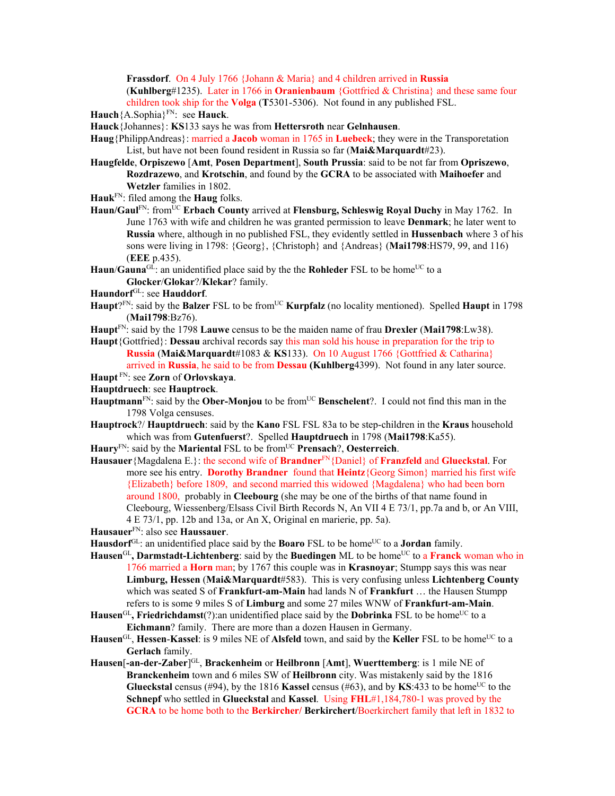**Frassdorf**. On 4 July 1766 {Johann & Maria} and 4 children arrived in **Russia**  (**Kuhlberg**#1235). Later in 1766 in **Oranienbaum** {Gottfried & Christina} and these same four children took ship for the **Volga** (**T**5301-5306). Not found in any published FSL.

**Hauch**{A.Sophia}FN: see **Hauck**.

**Hauck**{Johannes}: **KS**133 says he was from **Hettersroth** near **Gelnhausen**.

- **Haug**{PhilippAndreas}: married a **Jacob** woman in 1765 in **Luebeck**; they were in the Transporetation List, but have not been found resident in Russia so far (**Mai&Marquardt**#23).
- **Haugfelde**, **Orpiszewo** [**Amt**, **Posen Department**], **South Prussia**: said to be not far from **Opriszewo**, **Rozdrazewo**, and **Krotschin**, and found by the **GCRA** to be associated with **Maihoefer** and **Wetzler** families in 1802.

**Hauk**FN: filed among the **Haug** folks.

**Haun/Gaul**FN: fromUC **Erbach County** arrived at **Flensburg, Schleswig Royal Duchy** in May 1762. In June 1763 with wife and children he was granted permission to leave **Denmark**; he later went to **Russia** where, although in no published FSL, they evidently settled in **Hussenbach** where 3 of his sons were living in 1798: {Georg}, {Christoph} and {Andreas} (**Mai1798**:HS79, 99, and 116) (**EEE** p.435).

Haun/**Gauna**<sup>GL</sup>: an unidentified place said by the the **Rohleder** FSL to be home<sup>UC</sup> to a **Glocker**/**Glokar**?/**Klekar**? family.

- **Haundorf**GL: see **Hauddorf**.
- **Haupt**?<sup>FN</sup>: said by the **Balzer** FSL to be from<sup>UC</sup> **Kurpfalz** (no locality mentioned). Spelled **Haupt** in 1798 (**Mai1798**:Bz76).
- **Haupt**FN: said by the 1798 **Lauwe** census to be the maiden name of frau **Drexler** (**Mai1798**:Lw38).
- **Haupt**{Gottfried}: **Dessau** archival records say this man sold his house in preparation for the trip to **Russia** (**Mai&Marquardt**#1083 & **KS**133). On 10 August 1766 {Gottfried & Catharina}

arrived in **Russia**, he said to be from **Dessau (Kuhlberg**4399). Not found in any later source.

**Haupt** FN: see **Zorn** of **Orlovskaya**.

**Hauptdruech**: see **Hauptrock**.

- **Hauptmann**<sup>FN</sup>: said by the **Ober-Monjou** to be from<sup>UC</sup> **Benschelent**?. I could not find this man in the 1798 Volga censuses.
- **Hauptrock**?/ **Hauptdruech**: said by the **Kano** FSL FSL 83a to be step-children in the **Kraus** household which was from **Gutenfuerst**?. Spelled **Hauptdruech** in 1798 (**Mai1798**:Ka55).

Haury<sup>FN</sup>: said by the Mariental FSL to be from<sup>UC</sup> Prensach?, Oesterreich.

**Hausauer**{Magdalena E.}: the second wife of **Brandner**FN{Daniel} of **Franzfeld** and **Glueckstal**. For more see his entry. **Dorothy Brandner** found that **Heintz**{Georg Simon} married his first wife {Elizabeth} before 1809, and second married this widowed {Magdalena} who had been born around 1800, probably in **Cleebourg** (she may be one of the births of that name found in Cleebourg, Wiessenberg/Elsass Civil Birth Records N, An VII 4 E 73/1, pp.7a and b, or An VIII, 4 E 73/1, pp. 12b and 13a, or An X, Original en marierie, pp. 5a).

**Hausauer**FN: also see **Haussauer**.

- **Hausdorf**<sup>GL</sup>: an unidentified place said by the **Boaro** FSL to be home<sup>UC</sup> to a **Jordan** family.
- **Hausen<sup>GL</sup>, Darmstadt-Lichtenberg**: said by the **Buedingen** ML to be home<sup>UC</sup> to a **Franck** woman who in 1766 married a **Horn** man; by 1767 this couple was in **Krasnoyar**; Stumpp says this was near **Limburg, Hessen** (**Mai&Marquardt**#583). This is very confusing unless **Lichtenberg County** which was seated S of **Frankfurt-am-Main** had lands N of **Frankfurt** … the Hausen Stumpp refers to is some 9 miles S of **Limburg** and some 27 miles WNW of **Frankfurt-am-Main**.
- Hausen<sup>GL</sup>, Friedrichdamst(?):an unidentified place said by the **Dobrinka** FSL to be home<sup>UC</sup> to a **Eichmann**? family. There are more than a dozen Hausen in Germany.
- **Hausen**<sup>GL</sup>, **Hessen-Kassel**: is 9 miles NE of **Alsfeld** town, and said by the **Keller** FSL to be home<sup>UC</sup> to a **Gerlach** family.
- **Hausen**[**-an-der-Zaber**] GL, **Brackenheim** or **Heilbronn** [**Amt**], **Wuerttemberg**: is 1 mile NE of **Branckenheim** town and 6 miles SW of **Heilbronn** city. Was mistakenly said by the 1816 **Glueckstal** census (#94), by the 1816 **Kassel** census (#63), and by **KS**:433 to be home<sup>UC</sup> to the **Schnepf** who settled in **Glueckstal** and **Kassel**. Using **FHL**#1,184,780-1 was proved by the **GCRA** to be home both to the **Berkircher/ Berkirchert**/Boerkirchert family that left in 1832 to